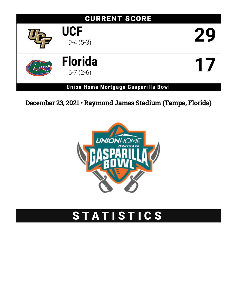

December 23, 2021 • Raymond James Stadium (Tampa, Florida)



# STATISTICS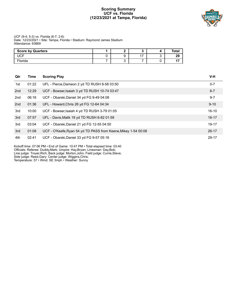#### **Scoring Summary UCF vs. Florida (12/23/2021 at Tampa, Florida)**



#### UCF (9-4; 5-3) vs. Florida (6-7; 2-6) Date: 12/23/2021 • Site: Tampa, Florida • Stadium: Raymond James Stadium Attendance: 63669

| <b>Score by Quarters</b> |  |                          | Total                    |
|--------------------------|--|--------------------------|--------------------------|
| I ICE                    |  | $\overline{\phantom{a}}$ | 29                       |
| Florida                  |  |                          | $\overline{\phantom{a}}$ |

| Qtr | Time  | <b>Scoring Play</b>                                            | $V-H$     |
|-----|-------|----------------------------------------------------------------|-----------|
| 1st | 01:22 | UFL - Pierce, Dameon 2 yd TD RUSH 8-58 03:50                   | $0 - 7$   |
| 2nd | 12:29 | UCF - Bowser, Isaiah 3 yd TD RUSH 10-74 03:47                  | $6 - 7$   |
| 2nd | 06:16 | UCF - Obarski, Daniel 34 yd FG 9-49 04:08                      | $9 - 7$   |
| 2nd | 01:36 | UFL - Howard, Chris 26 yd FG 12-64 04:34                       | $9 - 10$  |
| 3rd | 10:00 | UCF - Bowser, Isaiah 4 yd TD RUSH 3-79 01:05                   | $16 - 10$ |
| 3rd | 07:57 | UFL - Davis, Malik 19 yd TD RUSH 6-82 01:59                    | $16 - 17$ |
| 3rd | 03:04 | UCF - Obarski, Daniel 21 yd FG 12-55 04:50                     | $19 - 17$ |
| 3rd | 01:08 | UCF - O'Keefe, Ryan 54 yd TD PASS from Keene, Mikey 1-54 00:08 | $26 - 17$ |
| 4th | 02:41 | UCF - Obarski, Daniel 33 yd FG 9-57 05:16                      | 29-17     |

Kickoff time: 07:06 PM • End of Game: 10:47 PM • Total elapsed time: 03:40 Officials: Referee: Duddy,Mark; Umpire: Hay,Bryan; Linesman: Day,Bob; Line judge: Troyer,Rich; Back judge: Morton,John; Field judge: Currie,Steve; Side judge: Reed,Gary; Center judge: Wiggins,Chris;

Temperature: 57 • Wind: SE 3mph • Weather: Sunny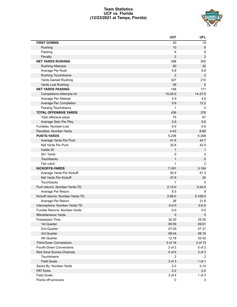#### **Team Statistics UCF vs. Florida (12/23/2021 at Tampa, Florida)**



|                                  | <b>UCF</b>       | <b>UFL</b>       |
|----------------------------------|------------------|------------------|
| <b>FIRST DOWNS</b>               | 20               | 19               |
| Rushing                          | 10               | 9                |
| Passing                          | 8                | 8                |
| Penalty                          | $\overline{2}$   | $\boldsymbol{2}$ |
| <b>NET YARDS RUSHING</b>         | 288              | 205              |
| <b>Rushing Attempts</b>          | 50               | 30               |
| Average Per Rush                 | 5.8              | 6.8              |
| <b>Rushing Touchdowns</b>        | $\boldsymbol{2}$ | $\overline{2}$   |
| <b>Yards Gained Rushing</b>      | 327              | 210              |
| Yards Lost Rushing               | 39               | 5                |
| <b>NET YARDS PASSING</b>         | 148              | 171              |
| Completions-Attempts-Int         | $15 - 25 - 0$    | $14 - 37 - 0$    |
| Average Per Attempt              | 5.9              | 4.6              |
| Average Per Completion           | 9.9              | 12.2             |
| Passing Touchdowns               | 1                | 0                |
| <b>TOTAL OFFENSIVE YARDS</b>     | 436              | 376              |
| Total offensive plays            | 75               | 67               |
| Average Gain Per Play            | 5.8              | 5.6              |
| Fumbles: Number-Lost             | $0-0$            | $0-0$            |
| Penalties: Number-Yards          | $4 - 42$         | $8 - 85$         |
| <b>PUNTS-YARDS</b>               | 5-208            | 6-268            |
| Average Yards Per Punt           | 41.6             | 44.7             |
| Net Yards Per Punt               | 32.8             | 42.5             |
| Inside 20                        | $\mathbf{1}$     | $\mathbf{1}$     |
| 50+ Yards                        | 0                | $\overline{c}$   |
| Touchbacks                       | $\mathbf{1}$     | $\pmb{0}$        |
| Fair catch                       | 1                | $\overline{2}$   |
| <b>KICKOFFS-YARDS</b>            | 7-391            | $3 - 184$        |
| Average Yards Per Kickoff        | 55.9             | 61.3             |
| Net Yards Per Kickoff            | 47.9             | 25               |
| Touchbacks                       | 1                | 0                |
| Punt returns: Number-Yards-TD    | $2 - 13 - 0$     | $3 - 24 - 0$     |
| Average Per Return               | 6.5              | 8                |
| Kickoff returns: Number-Yards-TD | $2 - 56 - 0$     | $5 - 109 - 0$    |
| Average Per Return               | 28               | 21.8             |
| Interceptions: Number-Yards-TD   | $0 - 0 - 0$      | $0 - 0 - 0$      |
| Fumble Returns: Number-Yards     | $0-0$            | $0-0$            |
| Miscellaneous Yards              | 0                | 0                |
| Possession Time                  | 34:30            | 25:30            |
| 1st Quarter                      | 05:59            | 09:01            |
| 2nd Quarter                      | 07:29            | 07:31            |
| 3rd Quarter                      | 08:44            | 06:16            |
| 4th Quarter                      | 12:18            | 02:42            |
| <b>Third-Down Conversions</b>    | 5 of 16          | 2 of 13          |
| Fourth-Down Conversions          | 2 of 2           | $0$ of $2$       |
| Red Zone Scores-Chances          | 5 of 6           | 3 of 3           |
| Touchdowns                       | $\overline{2}$   | 2                |
| <b>Field Goals</b>               | 3 of 3           | $1$ of $1$       |
| Sacks By: Number-Yards           | $2 - 3$          | $2 - 14$         |
| <b>PAT Kicks</b>                 | $2 - 2$          | $2 - 2$          |
| <b>Field Goals</b>               | 3 of 4           | $1$ of $3$       |
| Points off turnovers             | 0                | 0                |
|                                  |                  |                  |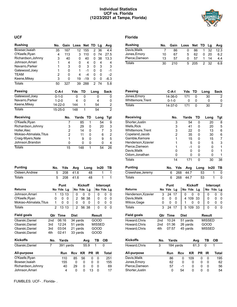#### **Individual Statistics UCF vs. Florida (12/23/2021 at Tampa, Florida)**



| <b>Rushing</b>          | No.           | Gain | Loss  |     | Net   | TD             | Lg   | Avg            |
|-------------------------|---------------|------|-------|-----|-------|----------------|------|----------------|
| Bowser, Isaiah          | 35            | 167  | 12    |     | 155   | $\overline{2}$ | 36   | 4.4            |
| O'Keefe, Ryan           | 4             | 113  |       | 3   | 110   | 0              | 74   | 27.5           |
| Richardson, Johnny      | 3             | 40   |       | 0   | 40    | 0              | 38   | 13.3           |
| Johnson, Amari          | 1             | 4    |       | 0   | 4     | 0              | 4    | 4              |
| Navarro, Parker         | 1             | 3    |       | 0   | 3     | 0              | 3    | 3              |
| Gatewood, Joey          | 1             | 0    |       | 1   | $-1$  | 0              | 0    | $-1$           |
| <b>TEAM</b>             | 2             | 0    |       | 4   | $-4$  | 0              | 0    | $-2$           |
| Keene, Mikey            | 3             | 0    | 19    |     | $-19$ | 0              | 0    | $-6.3$         |
| <b>Totals</b>           | 50            | 327  | 39    |     | 288   | $\overline{2}$ | 74   | 5.8            |
| <b>Passing</b>          | $C-A-I$       |      | Yds   | TD  |       | Long           |      | <b>Sack</b>    |
| Gatewood, Joey          | $0 - 1 - 0$   |      | 0     | 0   |       |                | 0    | 0              |
| Navarro, Parker         | $1 - 2 - 0$   |      | 4     | 0   |       |                | 4    | 0              |
| Keene, Mikey            | 14-22-0       |      | 144   | 1   |       |                | 54   | 2              |
| <b>Totals</b>           | $15 - 25 - 0$ |      | 148   | 1   |       |                | 54   | $\overline{2}$ |
| <b>Receiving</b>        |               | No.  | Yards |     | TD    |                | Long | Tgt            |
| O'Keefe, Ryan           |               | 7    |       | 85  | 1     |                | 54   | 9              |
| Richardson, Johnny      |               | 3    |       | 29  | 0     |                | 20   | 3              |
| Holler, Alec            |               | 2    |       | 14  | 0     |                | 7    | 3              |
| Mokiao-Atimalala, Titus |               | 2    |       | 11  | 0     |                | 6    | $\overline{c}$ |
| Craig-Myers, Nate       |               | 1    |       | 9   | 0     |                | 9    | 5              |
| Johnson, Brandon        |               | 0    |       | 0   | 0     |                | 0    | 4              |
| <b>Totals</b>           |               | 15   |       | 148 | 1     |                | 54   | 26             |

| <b>Punting</b>          | No.            |           | Yds | Avg            |                | Long  |    |               | In20      | ΤВ    |
|-------------------------|----------------|-----------|-----|----------------|----------------|-------|----|---------------|-----------|-------|
| Osteen, Andrew          |                | 5         | 208 | 41.6           |                | 48    |    |               | 1         | 1     |
| <b>Totals</b>           |                | 5         | 208 | 41.6           |                | 48    |    |               | 1         | 1     |
|                         |                | Punt      |     |                | <b>Kickoff</b> |       |    |               | Intercept |       |
| <b>Returns</b>          |                | No Yds Lg |     |                | No Yds Lg      |       |    |               | No Yds Lg |       |
| Johnson, Amari          | 1              | 13 13     |     | 0              | 0              | 0     |    | 0             | 0         | 0     |
| O'Keefe, Ryan           | 0              | 0         | 0   | $\overline{2}$ |                | 56 38 |    | 0             | 0         | 0     |
| Mokiao-Atimalala, Titus | 1              | 0         | 0   | 0              | 0              | 0     |    | 0             | 0         | 0     |
| <b>Totals</b>           | $\overline{2}$ | 13 13     |     | $\overline{2}$ |                | 56 38 |    | 0             | 0         | 0     |
| Field goals             | Qtr            | Time      |     | <b>Dist</b>    |                |       |    | Result        |           |       |
| Obarski, Daniel         | 2nd            | 06:16     |     |                | 34 yards       |       |    | GOOD          |           |       |
| Obarski, Daniel         | 3rd            | 12:24     |     | 51 yards       |                |       |    | <b>MISSED</b> |           |       |
| Obarski, Daniel         | 3rd            | 03:04     |     | 21 yards       |                |       |    | GOOD          |           |       |
| Obarski, Daniel         | 4th            | 02:41     |     | 33 yards       |                |       |    | GOOD          |           |       |
| <b>Kickoffs</b>         | No.            | Yards     |     |                |                | Avg   |    | ΤВ            | ОВ        |       |
| Obarski, Daniel         | 7              | 391 yards |     |                |                | 55.9  |    | 1             | 0         |       |
| All-purpose             |                | Run       |     | <b>Rcv</b>     | KR             | РR    |    | ΙR            |           | Total |
| O'Keefe, Ryan           |                | 110       |     | 85             | 56             |       | 0  | 0             |           | 251   |
| Bowser, Isaiah          |                | 155       |     | 0              | 0              |       | 0  | 0             |           | 155   |
| Richardson, Johnny      |                |           | 40  | 29             | 0              |       | 0  | 0             |           | 69    |
| Johnson, Amari          |                |           | 4   | 0              | 0              |       | 13 | 0             |           | 17    |

FUMBLES: UCF- . Florida- .

| <b>Rushing</b> | No. | Gain | Loss Net TD Lg |     |    |     | Avg  |
|----------------|-----|------|----------------|-----|----|-----|------|
| Davis, Malik   |     | 86   | 0              | 86  | 1. | -32 | 12.3 |
| Jones, Emory   | 10  | 67   | 5              | 62  |    | 20  | 6.2  |
| Pierce, Dameon | 13  | 57   |                | 57  |    | 14  | 4.4  |
| <b>Totals</b>  | 30  | 210  | 5.             | 205 |    | -32 | 6.8  |

| Passing          | C-A-I         | Yds TD | Long | <b>Sack</b> |
|------------------|---------------|--------|------|-------------|
| Jones.Emory      | $14 - 36 - 0$ | 171    | 30   |             |
| Whittemore.Trent | $0 - 1 - 0$   |        |      | 0           |
| Totals           | $14 - 37 - 0$ | 171    | 30   | 2           |

| Receiving          |     | No. | Yards | TD   | Long | Tgt |
|--------------------|-----|-----|-------|------|------|-----|
| Shorter, Justin    |     | 3   | 54    | 0    | 20   | 8   |
| <b>Wells, Rick</b> |     | 3   | 41    | 0    | 20   | 5   |
| Whittemore.Trent   |     | 3   | 22    | 0    | 13   | 6   |
| Copeland, Jacob    |     | 2   | 35    | 0    | 30   | 6   |
| Gamble, Kemore     |     |     | 15    | 0    | 15   | 7   |
| Henderson, Xzavier |     |     | 5     | 0    | 5    | 3   |
| Pierce, Dameon     |     |     | -1    | 0    | ი    |     |
| Davis, Malik       |     |     | 0     | 0    | 0    |     |
| Odom, Jonathan     |     | Ω   | ი     | 0    | ი    |     |
| Totals             |     | 14  | 171   | 0    | 30   | 38  |
| <b>Punting</b>     | No. | Yds | Avg   | Long | In20 | ΤВ  |
| Crawshaw, Jeremy   | 6   | 268 | 44.7  | 53   | 1    | 0   |
| Totals             | 6   | 268 | 44.7  | 53   |      | 0   |

|                    | Punt |           |   | <b>Kickoff</b> |     | Intercept |           |  |  |
|--------------------|------|-----------|---|----------------|-----|-----------|-----------|--|--|
| Returns            |      | No Yds Lg |   | No Yds Lg      |     |           | No Yds Lg |  |  |
| Henderson, Xzavier | 3    | 24 17     |   |                | 0   |           |           |  |  |
| Davis,Malik        |      |           | 0 | 4 109 33       |     |           |           |  |  |
| Wilcox, Gage       |      | Ω         | 0 |                |     |           |           |  |  |
| Totals             |      | 24 17     |   | 5 109          | -33 |           |           |  |  |

| Field goals   |     | <b>Qtr Time</b> | Dist     | Result        |
|---------------|-----|-----------------|----------|---------------|
| Howard.Chris  | 2nd | 10:24           | 51 vards | <b>MISSED</b> |
| Howard, Chris | 2nd | 01:36           | 26 yards | GOOD          |
| Howard, Chris | 4th | 07:57           | 45 vards | <b>MISSED</b> |

| <b>Kickoffs</b> | No. | Yards     |     |      | Ava | ΤВ           | OВ    |
|-----------------|-----|-----------|-----|------|-----|--------------|-------|
| Howard, Chris   | 3   | 184 yards |     | 61.3 |     | 0            |       |
| All-purpose     |     | Run       | Rcv | KR   | PR. | IR           | Total |
| Davis, Malik    |     | 86        | 0   | 109  | 0   | O            | 195   |
| Jones, Emory    |     | 62        | 0   | 0    | 0   | 0            | 62    |
| Pierce, Dameon  |     | 57        | -1  | 0    | 0   | O            | 56    |
| Shorter, Justin |     | 0         | 54  | 0    | 0   | <sup>0</sup> | 54    |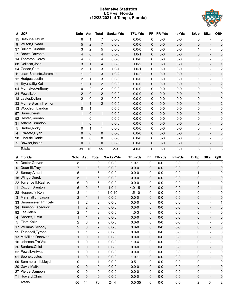#### **Defensive Statistics UCF vs. Florida (12/23/2021 at Tampa, Florida)**



| #            | <b>UCF</b>                 | Solo                    | Ast            | <b>Total</b>            | Sacks-Yds              | <b>TFL-Yds</b>         | FF                     | FR-Yds         | Int-Yds        | <b>BrUp</b>    | <b>Blks</b>                  | QBH                     |
|--------------|----------------------------|-------------------------|----------------|-------------------------|------------------------|------------------------|------------------------|----------------|----------------|----------------|------------------------------|-------------------------|
|              | 15 Bethune, Tatum          | 6                       | 1              | $\overline{7}$          | $0.0 - 0$              | $0.0 - 0$              | 0                      | $0-0$          | $0-0$          | $\mathbf 0$    |                              | 0                       |
| 9            | Wilson, Divaad             | 5                       | 2              | 7                       | $0.0 - 0$              | $0.0 - 0$              | $\mathbf{0}$           | $0-0$          | $0-0$          | $\pmb{0}$      | $\overline{\phantom{a}}$     | $\pmb{0}$               |
|              | 37 Bullard, Quadric        | 3                       | $\overline{2}$ | 5                       | $0.0 - 0$              | $0.0 - 0$              | 0                      | $0-0$          | $0-0$          | 1              | $\blacksquare$               | 0                       |
|              | 7 Brown, Davonte           | 4                       | 0              | 4                       | $0.0 - 0$              | $1.0 - 1$              | $\mathbf{0}$           | $0-0$          | $0-0$          | 3              | $\overline{\phantom{a}}$     | $\pmb{0}$               |
|              | 14 Thornton, Corey         | 4                       | 0              | 4                       | $0.0 - 0$              | $0.0 - 0$              | 0                      | $0-0$          | $0-0$          | 0              | $\overline{\phantom{0}}$     | 0                       |
|              | 88 Celiscar, Josh          | 3                       | $\mathbf{1}$   | 4                       | $0.0 - 0$              | $1.0 - 2$              | $\mathbf{0}$           | $0-0$          | $0-0$          | $\pmb{0}$      | $\overline{\phantom{a}}$     | $\mathbf{1}$            |
|              | 54 Goode, Cam              | $\overline{2}$          | 1              | 3                       | $1.0 - 1$              | $1.0 - 1$              | 0                      | $0-0$          | $0-0$          | 0              | $\overline{\phantom{a}}$     | $\overline{\mathbf{c}}$ |
|              | 11 Jean-Baptiste, Jeremiah | $\mathbf{1}$            | $\overline{2}$ | 3                       | $1.0 - 2$              | $1.0 - 2$              | 0                      | $0-0$          | $0-0$          | $\mathbf{1}$   | $\overline{\phantom{a}}$     | $\mathbf 1$             |
|              | 12 Hodges, Justin          | $\overline{c}$          | 1              | 3                       | $0.0 - 0$              | $0.0 - 0$              | 0                      | $0-0$          | $0-0$          | 1              | $\blacksquare$               | 0                       |
| 1.           | Bryant, Big Kat            | $\mathbf{1}$            | $\mathbf{1}$   | $\overline{2}$          | $0.0 - 0$              | $0.0 - 0$              | 0                      | $0-0$          | $0-0$          | $\pmb{0}$      | $\qquad \qquad \blacksquare$ | $\overline{\mathbf{c}}$ |
|              | 94 Montalvo, Anthony       | 0                       | $\overline{2}$ | $\overline{c}$          | $0.0 - 0$              | $0.0 - 0$              | 0                      | $0-0$          | $0-0$          | 0              | $\blacksquare$               | 0                       |
|              | 34 Powell, Jon             | $\overline{c}$          | 0              | $\overline{2}$          | $0.0 - 0$              | $0.0 - 0$              | 0                      | $0-0$          | $0-0$          | $\pmb{0}$      | $\overline{\phantom{a}}$     | $\pmb{0}$               |
|              | 18 Lester, Dyllon          | $\overline{2}$          | 0              | $\overline{2}$          | $0.0 - 0$              | $0.0 - 0$              | 0                      | $0-0$          | $0-0$          | 0              | $\overline{\phantom{a}}$     | 0                       |
|              | 33 Morris-Brash, Tre'mon   | $\mathbf{1}$            | $\mathbf{1}$   | $\overline{2}$          | $0.0 - 0$              | $0.0 - 0$              | $\mathbf{0}$           | $0-0$          | $0-0$          | $\pmb{0}$      | $\overline{\phantom{a}}$     | $\overline{\mathbf{c}}$ |
|              | 13 Woodson, Landon         | 0                       | 1              | $\mathbf{1}$            | $0.0 - 0$              | $0.0 - 0$              | 0                      | $0-0$          | $0-0$          | $\pmb{0}$      | $\blacksquare$               | 0                       |
|              | 57 Burns, Derek            | $\mathbf{1}$            | 0              | $\mathbf{1}$            | $0.0 - 0$              | $0.0 - 0$              | 0                      | $0-0$          | $0-0$          | $\pmb{0}$      | $\overline{\phantom{a}}$     | $\pmb{0}$               |
|              | 52 Hester, Keenan          | 1                       | 0              | 1                       | $0.0 - 0$              | $0.0 - 0$              | 0                      | $0-0$          | $0-0$          | 0              | $\overline{\phantom{0}}$     | 0                       |
|              | 31 Adams, Brandon          | 1                       | 0              | $\mathbf{1}$            | $0.0 - 0$              | $0.0 - 0$              | $\mathbf{0}$           | $0-0$          | $0-0$          | $\pmb{0}$      | $\overline{\phantom{a}}$     | $\pmb{0}$               |
| 5            | Barber, Ricky              | 0                       | 1              | 1                       | $0.0 - 0$              | $0.0 - 0$              | 0                      | $0-0$          | $0-0$          | 0              | $\overline{\phantom{0}}$     |                         |
|              | O'Keefe, Ryan              |                         |                | $\mathbf 0$             | $0.0 - 0$              | $0.0 - 0$              |                        | $0-0$          | $0-0$          |                |                              | 0                       |
| 4            | 98 Obarski, Daniel         | 0                       | 0              |                         | $0.0 - 0$              |                        | $\mathbf{0}$           |                |                | $\pmb{0}$      | $\qquad \qquad \blacksquare$ | $\pmb{0}$               |
|              |                            | 0                       | 0              | 0                       |                        | $0.0 - 0$              | 0                      | $0-0$          | $0-0$          | 0              | $\overline{\phantom{0}}$     | 0                       |
|              | 5 Bowser, Isaiah           | 0                       | 0              | $\pmb{0}$               | $0.0 - 0$              | $0.0 - 0$              | 0                      | $0-0$          | $0-0$          | $\pmb{0}$      | $\qquad \qquad -$            | $\pmb{0}$               |
|              | <b>Totals</b>              | 39                      | 16             | 55                      | $2 - 3$                | $4.0 - 6$              | 0                      | $0-0$          | $0-0$          | 6              | 0                            | 8                       |
|              | # Florida                  | Solo                    | Ast            | <b>Total</b>            | Sacks-Yds              | <b>TFL-Yds</b>         | FF                     | FR-Yds         | Int-Yds        | <b>BrUp</b>    | <b>Blks</b>                  | QBH                     |
|              | 9 Dexter, Gervon           | 8                       | 1              | 9                       | $0.0 - 0$              | $1.0 - 1$              | 0                      | $0-0$          | $0-0$          | 0              |                              | $\pmb{0}$               |
| 0            | Dean III, Trey             | 7                       | 1              | 8                       | $0.0 - 0$              | $0.0 - 0$              | 0                      | $0-0$          | $0-0$          | 0              | $\overline{\phantom{a}}$     | $\pmb{0}$               |
| $^{2}$       | Burney, Amari              | 5                       | 1              | 6                       | $0.0 - 0$              | $0.0 - 0$              | 0                      | $0-0$          | $0-0$          | 1              | $\blacksquare$               | 0                       |
|              | 15 Wingo, Derek            | 5                       | $\mathbf{1}$   | 6                       | $0.0 - 0$              | $0.0 - 0$              | $\pmb{0}$              | $0-0$          | $0-0$          | $\pmb{0}$      | $\qquad \qquad -$            | $\pmb{0}$               |
|              | 22 Torrence II, Rashad     | 6                       | 0              | 6                       | $0.0 - 0$              | $0.0 - 0$              | 0                      | $0-0$          | $0-0$          | 1              | $\blacksquare$               | 0                       |
| $\mathbf{1}$ | Cox Jr., Brenton           | 5                       | 0              | 5                       | $1.0 - 4$              | $4.0 - 15$             | 0                      | $0-0$          | $0-0$          | 0              | $\overline{\phantom{0}}$     | $\mathbf{1}$            |
|              | 28 Hopper, Ty'Ron          | 3                       | 1              | 4                       | $1.0 - 10$             | $1.5 - 10$             | 0                      | $0-0$          | $0-0$          | 0              | $\overline{\phantom{a}}$     | 0                       |
|              | 3 Marshall Jr., Jason      | $\overline{2}$          | $\mathbf{1}$   | 3                       | $0.0 - 0$              | $0.0 - 0$              | $\pmb{0}$              | $0-0$          | $0-0$          | $\pmb{0}$      | $\overline{\phantom{a}}$     | $\pmb{0}$               |
|              | 33 Umanmielen, Princely    | 1                       | $\overline{2}$ | 3                       | $0.0 - 0$              | $0.0 - 0$              | 0                      | $0-0$          | $0-0$          | 0              | $\blacksquare$               | 1                       |
|              | 34 Brunson, Lacedrick      | 1                       | 2              | 3                       | $0.0 - 0$              | $0.0 - 0$              | 0                      | $0-0$          | $0-0$          | 0              | $\overline{\phantom{a}}$     | 0                       |
|              | 92 Lee, Jalen              | 2                       | 1              | 3                       | $0.0 - 0$              | $1.0 - 3$              | 0                      | $0-0$          | $0-0$          | 0              | $\blacksquare$               | 0                       |
|              | 4 Shorter, Justin          | $\mathbf{1}$            | $\mathbf{1}$   | $\overline{c}$          | $0.0 - 0$              | $0.0 - 0$              | $\pmb{0}$              | $0-0$          | $0-0$          | $\pmb{0}$      | $\qquad \qquad -$            | $\pmb{0}$               |
| 5.           | Elam, Kaiir                | $\overline{\mathbf{c}}$ | 0              | $\overline{\mathbf{c}}$ | $0.0 - 0$              | $0.0 - 0$              | 0                      | $0-0$          | $0-0$          | 0              | $\blacksquare$               | 0                       |
|              | 17 Williams, Scooby        | $\overline{c}$          | $\pmb{0}$      | $\overline{2}$          | $0.0 - 0$              | $0.0 - 0$              | $\pmb{0}$              | $0-0$          | $0-0$          | 0              | $\blacksquare$               | $\pmb{0}$               |
|              | 95 Truesdell, Tyrone       | 1                       | 1              | 2                       | $0.0 - 0$              | $0.0 - 0$              | 0                      | $0-0$          | $0-0$          | 0              | $\qquad \qquad \blacksquare$ | 0                       |
|              | 13 McMillon, Donovan       | $\mathbf{1}$            | 0              | $\mathbf{1}$            | $0.0 - 0$              | $0.0 - 0$              | 0                      | $0-0$          | $0-0$          | 0              | $\overline{\phantom{a}}$     | $\pmb{0}$               |
|              | 16 Johnson, Tre'Vez        | 1                       | 0              | 1                       | $0.0 - 0$              | $1.0 - 4$              | 0                      | $0-0$          | $0-0$          | 0              | $\blacksquare$               | 0                       |
|              | 36 Borders, Chief          | $\mathbf{1}$            | 0              | $\mathbf{1}$            | $0.0 - 0$              | $0.0 - 0$              | 0                      | $0-0$          | $0-0$          | 0              | $\overline{\phantom{a}}$     | $\pmb{0}$               |
|              | 52 Powell, Antwaun         | 1                       | 0              | 1                       | $0.0 - 0$              | $0.0 - 0$              | 0                      | $0-0$          | $0-0$          | 0              | $\overline{\phantom{a}}$     | 0                       |
|              | 91 Boone, Justus           | $\mathbf{1}$            | $\pmb{0}$      | $\mathbf{1}$            |                        | $1.0 - 1$              | 0                      | $0-0$          | $0-0$          | $\pmb{0}$      | $\overline{\phantom{a}}$     | $\pmb{0}$               |
|              |                            |                         |                |                         | $0.0 - 0$              |                        |                        |                |                |                |                              |                         |
|              | 99 Summerall III, Lloyd    | 0                       | 1              | 1                       | $0.0 - 0$              | $0.5 - 1$              | 0                      | $0-0$          | $0-0$          | 0              | $\blacksquare$               | 0                       |
|              | 20 Davis, Malik            |                         |                | 0                       |                        |                        |                        |                |                |                | $\blacksquare$               |                         |
|              | 27 Pierce, Dameon          | 0                       | $\pmb{0}$      |                         | $0.0 - 0$              | $0.0 - 0$              | $\pmb{0}$              | $0-0$<br>$0-0$ | $0-0$<br>$0-0$ | 0              | $\overline{\phantom{a}}$     | $\pmb{0}$               |
|              | 71 Howard, Chris           | 0<br>$\pmb{0}$          | 0<br>$\pmb{0}$ | 0<br>0                  | $0.0 - 0$<br>$0.0 - 0$ | $0.0 - 0$<br>$0.0 - 0$ | $\pmb{0}$<br>$\pmb{0}$ | $0-0$          | $0-0$          | 0<br>0         | $\overline{\phantom{a}}$     | 0<br>$\pmb{0}$          |
|              | <b>Totals</b>              | 56                      | 14             | 70                      | $2 - 14$               | 10.0-35                | $\pmb{0}$              | $0-0$          | $0-0$          | $\overline{2}$ | $\mathsf 0$                  | $\overline{c}$          |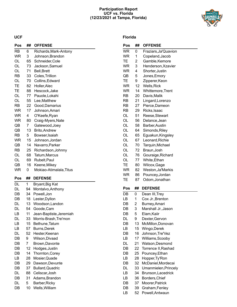#### **Participation Report UCF vs. Florida (12/23/2021 at Tampa, Florida)**



#### **UCF**

| Pos       | ##       | <b>OFFENSE</b>                    |
|-----------|----------|-----------------------------------|
| <b>RB</b> | 6        | Richards, Mark-Antony             |
| <b>WR</b> | 3        | Johnson, Brandon                  |
| OL        | 65       | Schneider, Cole                   |
| OL        | 73       | Jackson, Samuel                   |
| OL        | 71       | <b>Bell, Brett</b>                |
| RB        | 33       | Coles, Trillion                   |
| OL        | 70       | Collins, Edward                   |
| TЕ        | 82       | Holler, Alec                      |
| TЕ        | 88       | Hescock, Jake                     |
| OL        | 77       | Pauole, Lokahi                    |
| OL        | 55       | Lee, Matthew                      |
| RB        | 22       | Good, Damarius                    |
| <b>WR</b> | 17       | Johnson, Amari                    |
| WR        | 4        | O'Keefe, Ryan                     |
| WR        |          |                                   |
|           | 80       | Craig-Myers, Nate                 |
| QB        | 7        | Gatewood, Joey                    |
| QB        | 13       | <b>Brito, Andrew</b>              |
| RB        | 5        | Bowser, Isaiah                    |
| <b>WR</b> | 15       | Johnson, Jordan                   |
| QB        | 14       | Navarro, Parker                   |
| RB        | 25       | Richardson, Johnny                |
| OL        | 68       | Tatum, Marcus                     |
| OL        | 69       | Rubelt, Paul                      |
| QB        | 16       | Keene, Mikey                      |
| WR        | 0        | Mokiao-Atimalala, Titus           |
| Pos       |          | <b>DEFENSE</b>                    |
|           | ##       |                                   |
| DL        | 1        | Bryant, Big Kat                   |
| DL        | 94       | Montalvo, Anthony                 |
| DB        | 34       | Powell, Jon                       |
| DB        | 18       | Lester, Dyllon                    |
| DL        | 13       | Woodson, Landon                   |
| DL        | 54       | Goode, Cam                        |
| LB        | 11       | Jean-Baptiste.Jeremiah            |
| DL        | 33       | Morris-Brash, Tre'mon             |
| LВ        | 15       | Bethune, Tatum                    |
| LВ        | 57       | Burns, Derek                      |
| DL        | 52       |                                   |
| DB        | 9        | Hester, Keenan<br>Wilson, Divaad  |
| DB        | 7        |                                   |
| DB        | 12       | Brown, Davonte                    |
| DB        | 14       | Hodges, Justin<br>Thornton, Corey |
| LВ        | 28       | Mosier, Quade                     |
| DB        | 29       | Dawson, Devunte                   |
| DB        | 37       |                                   |
|           |          | <b>Bullard, Quadric</b>           |
| DL        | 88<br>31 | Celiscar, Josh                    |
| DB<br>DL  | 5        | Adams, Brandon<br>Barber, Ricky   |

## **Florida**

| Pos | ## | <b>OFFENSE</b>       |
|-----|----|----------------------|
| WR  | 0  | Fraziars, Ja'Quavion |
| WR  | 1  | Copeland, Jacob      |
| TЕ  | 2  | Gamble, Kemore       |
| WR  | 3  | Henderson, Xzavier   |
| WR  | 4  | Shorter, Justin      |
| QB  | 5  | Jones, Emory         |
| TЕ  | 9  | Zipperer, Keon       |
| WR  | 12 | <b>Wells, Rick</b>   |
| WR  | 14 | Whittemore, Trent    |
| RB  | 20 | Davis, Malik         |
| RB  | 21 | Lingard, Lorenzo     |
| RB  | 27 | Pierce, Dameon       |
| RB  | 29 | Ricks, Isaac         |
| OL  | 51 | Reese, Stewart       |
| OL  | 56 | Delance, Jean        |
| OL  | 58 | Barber, Austin       |
| OL  | 64 | Simonds, Riley       |
| OL  | 65 | Eguakun, Kingsley    |
| OL  | 67 | Leonard, Richie      |
| OL  | 70 | Tarquin, Michael     |
| OL  | 72 | Braun, Josh          |
| OL  | 76 | Gouraige, Richard    |
| OL  | 77 | White, Ethan         |
| TЕ  | 80 | Wilcox, Gage         |
| WR  | 82 | Weston, Ja'Markis    |
| WR  | 86 | Pouncey, Jordan      |
| TЕ  | 87 | Odom, Jonathan       |
| Pos | ## | <b>DEFENSE</b>       |
| DB  | 0  | Dean III, Trey       |
| LВ  | 1  | Cox Jr., Brenton     |
| DB  | 2  | Burney, Amari        |
| DB  | 3  | Marshall Jr., Jason  |
| DB  | 5  | Elam, Kaiir          |
| DL  | 9  | Dexter, Gervon       |
| DB  | 13 | McMillon, Donovan    |
| LB  | 15 | Wingo, Derek         |
| DB  | 16 | Johnson, Tre'Vez     |
| LB  | 17 | Williams, Scooby     |
| DL  | 21 | Watson, Desmond      |
| DB  | 22 | Torrence II, Rashad  |
| DB  | 25 | Pouncey, Ethan       |
| LB  | 28 | Hopper, Ty'Ron       |
| DB  | 32 | McDaniel, Mordecai   |
| DL  | 33 | Umanmielen, Princely |
| LB  | 34 | Brunson, Lacedrick   |
| LB  | 36 | Borders, Chief       |
| DB  | 37 | Moorer, Patrick      |
| DB  | 39 | Graham, Fenley       |
| LВ  | 52 | Powell, Antwaun      |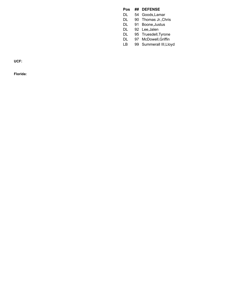#### **Pos** ## DEFENSE

- D L 54 Goods, Lamar
- D L 90 Thomas Jr., Chris
- D L 91 Boone, Justus
- D L 92 Lee, Jalen
- D L 95 Truesdell, Tyrone
- D L 9 7 M c D o w ell,G riffin
- L B 99 Summerall III, Lloyd

**U C F :**

**F l o r i d a :**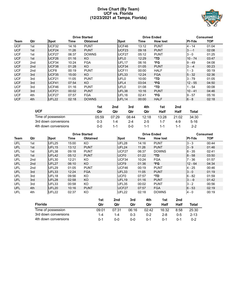#### **Drive Chart (By Team) UCF vs. Florida (12/23/2021 at Tampa, Florida)**



|            |     |                   |       | <b>Drive Started</b> |                   |       | <b>Drive Ended</b> | <b>Consumed</b> |            |  |
|------------|-----|-------------------|-------|----------------------|-------------------|-------|--------------------|-----------------|------------|--|
| Team       | Qtr | Spot              | Time  | <b>Obtained</b>      | <b>Spot</b>       | Time  | <b>How lost</b>    | <b>PI-Yds</b>   | <b>TOP</b> |  |
| <b>UCF</b> | 1st | UCF32             | 14:16 | <b>PUNT</b>          | UCF46             | 13:12 | <b>PUNT</b>        | $4 - 14$        | 01:04      |  |
| <b>UCF</b> | 1st | UCF24             | 11:26 | <b>PUNT</b>          | UCF <sub>23</sub> | 09:18 | <b>PUNT</b>        | $3 - -1$        | 02:08      |  |
| <b>UCF</b> | 1st | UCF <sub>27</sub> | 06:37 | <b>DOWNS</b>         | UCF27             | 05:12 | <b>PUNT</b>        | $3 - 0$         | 01:25      |  |
| <b>UCF</b> | 1st | UCF <sub>26</sub> | 01:16 | KO                   | UFL <sub>0</sub>  | 12:29 | *TD                | $10 - 74$       | 03:47      |  |
| <b>UCF</b> | 2nd | UCF34             | 10:24 | <b>FGA</b>           | UFL <sub>17</sub> | 06:16 | *FG                | $9 - 49$        | 04:08      |  |
| <b>UCF</b> | 2nd | UCF38             | 01:28 | KO                   | UCF34             | 01:05 | <b>PUNT</b>        | $3 - -4$        | 00:23      |  |
| <b>UCF</b> | 2nd | UCF8              | 00:19 | <b>PUNT</b>          | UCF <sub>11</sub> | 00:00 | <b>HALF</b>        | $1 - 3$         | 00:19      |  |
| <b>UCF</b> | 3rd | UCF35             | 15:00 | KO                   | UFL33             | 12:24 | <b>FGA</b>         | $5 - 32$        | 02:36      |  |
| <b>UCF</b> | 3rd | UCF <sub>21</sub> | 11:05 | <b>PUNT</b>          | UFL <sub>0</sub>  | 10:00 | *TD                | $3 - 79$        | 01:05      |  |
| <b>UCF</b> | 3rd | UCF41             | 07:54 | KO                   | UFL4              | 03:04 | *FG                | $12 - 55$       | 04:50      |  |
| <b>UCF</b> | 3rd | UCF46             | 01:16 | <b>PUNT</b>          | UFL <sub>0</sub>  | 01:08 | *TD                | $1 - 54$        | 00:08      |  |
| <b>UCF</b> | 3rd | UCF <sub>21</sub> | 00:02 | <b>PUNT</b>          | UFL38             | 10:16 | <b>PUNT</b>        | $10 - 41$       | 04:46      |  |
| <b>UCF</b> | 4th | UCF27             | 07:57 | <b>FGA</b>           | UFL <sub>16</sub> | 02:41 | *FG                | $9 - 57$        | 05:16      |  |
| <b>UCF</b> | 4th | UFL22             | 02:18 | <b>DOWNS</b>         | UFL <sub>14</sub> | 00:00 | <b>HALF</b>        | $6 - 8$         | 02:18      |  |

|                      | 1st     | 2nd     | 3rd     | 4th     | 1st     | 2nd     |          |
|----------------------|---------|---------|---------|---------|---------|---------|----------|
| <b>UCF</b>           | Qtr     | Qtr     | Qtr     | Qtr     | Half    | Half    | Total    |
| Time of possession   | 05:59   | 07:29   | 08:44   | 12:18   | 13:28   | 21:02   | 34:30    |
| 3rd down conversions | $0 - 3$ | $1 - 4$ | $2 - 4$ | $2 - 5$ | $1 - 7$ | 4-9     | $5 - 16$ |
| 4th down conversions | ი-ი     | 1-1     | $0 - 0$ | $1 - 1$ | $1 - 1$ | $1 - 1$ | $2 - 2$  |

|                    |                 |                      | <b>Drive Started</b> | <b>Drive Ended</b> |         |                   |         |         |                 | <b>Consumed</b> |               |            |  |
|--------------------|-----------------|----------------------|----------------------|--------------------|---------|-------------------|---------|---------|-----------------|-----------------|---------------|------------|--|
| Team               | Qtr             | <b>Spot</b>          | Time                 | <b>Obtained</b>    |         | <b>Spot</b>       |         | Time    | <b>How lost</b> |                 | <b>PI-Yds</b> | <b>TOP</b> |  |
| UFL                | 1st             | UFL25                | 15:00                | KO                 |         | UFL28             |         | 14:16   | <b>PUNT</b>     |                 | $3 - 3$       | 00:44      |  |
| UFL                | 1st             | UFL15                | 13:12                | <b>PUNT</b>        |         | UFL24             |         | 11:26   | <b>PUNT</b>     |                 | $3 - 9$       | 01:46      |  |
| UFL                | 1st             | UFL38                | 09:18                | <b>PUNT</b>        |         | UCF27             |         | 06:37   | <b>DOWNS</b>    |                 | $8 - 35$      | 02:41      |  |
| UFL                | 1st             | UFL42                | 05:12                | <b>PUNT</b>        |         | UCF <sub>0</sub>  |         | 01:22   | *TD             |                 | $8 - 58$      | 03:50      |  |
| UFL                | 2nd             | UFL30                | 12:21                | KO.                |         | UCF34             |         | 10:24   | <b>FGA</b>      |                 | 7 - 36        | 01:57      |  |
| <b>UFL</b>         | 2 <sub>nd</sub> | UFL27                | 06:10                | KO                 |         | UCF9              |         | 01:36   | *FG             |                 | $12 - 64$     | 04:34      |  |
| UFL                | 2nd             | UFL29                | 01:05                | <b>PUNT</b>        |         | UCF46             |         | 00:19   | <b>PUNT</b>     |                 | $4 - 25$      | 00:46      |  |
| UFL                | 3rd             | UFL33                | 12:24                | <b>FGA</b>         |         | UFL33             |         | 11:05   | <b>PUNT</b>     |                 | $3 - 0$       | 01:19      |  |
| UFL                | 3rd             | UFL18                | 09:56                | KO.                |         | UCF <sub>0</sub>  |         | 07:57   | *TD             |                 | $6 - 82$      | 01:59      |  |
| UFL                | 3rd             | UFL28                | 02:58                | KO                 |         | UFL <sub>19</sub> |         | 01:16   | <b>PUNT</b>     |                 | $3 - -9$      | 01:42      |  |
| UFL                | 3rd             | UFL33                | 00:58                | KO                 |         | UFL35             |         | 00:02   | <b>PUNT</b>     |                 | $3 - 2$       | 00:56      |  |
| <b>UFL</b>         | 4th             | UFL20                | 10:16                | <b>PUNT</b>        |         | UCF27             |         | 07:57   | <b>FGA</b>      |                 | $6 - 53$      | 02:19      |  |
| UFL                | 4th             | UFL22                | 02:37                | KO.                |         | <b>UFL22</b>      |         | 02:18   | <b>DOWNS</b>    |                 | $4 - 0$       | 00:19      |  |
|                    |                 |                      |                      |                    | 1st     | 2nd               | 3rd     | 4th     | 1st             | 2nd             |               |            |  |
|                    | <b>Florida</b>  |                      |                      |                    | Qtr     | Qtr               | Qtr     | Qtr     | Half            | Half            | Total         |            |  |
| Time of possession |                 |                      |                      | 09:01              | 07:31   | 06:16             | 02:42   | 16:32   | 8:58            | 25:30           |               |            |  |
|                    |                 | 3rd down conversions |                      |                    | $1 - 4$ | $1 - 4$           | $0 - 3$ | $0 - 2$ | $2 - 8$         | $0 - 5$         | $2 - 13$      |            |  |
|                    |                 | 4th down conversions |                      |                    | $0 - 1$ | $0-0$             | $0-0$   | $0 - 1$ | $0 - 1$         | $0 - 1$         | $0 - 2$       |            |  |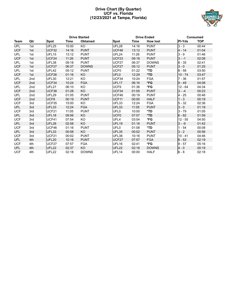#### **Drive Chart (By Quarter) UCF vs. Florida (12/23/2021 at Tampa, Florida)**



| <b>Drive Started</b> |                 |                   |       |                 | <b>Drive Ended</b><br><b>Consumed</b> |       |                 |               |            |
|----------------------|-----------------|-------------------|-------|-----------------|---------------------------------------|-------|-----------------|---------------|------------|
| Team                 | Qtr             | <b>Spot</b>       | Time  | <b>Obtained</b> | <b>Spot</b>                           | Time  | <b>How lost</b> | <b>PI-Yds</b> | <b>TOP</b> |
| UFL                  | 1st             | UFL25             | 15:00 | KO              | UFL28                                 | 14:16 | <b>PUNT</b>     | $3 - 3$       | 00:44      |
| <b>UCF</b>           | 1st             | UCF32             | 14:16 | <b>PUNT</b>     | UCF46                                 | 13:12 | <b>PUNT</b>     | $4 - 14$      | 01:04      |
| UFL                  | 1st             | UFL <sub>15</sub> | 13:12 | <b>PUNT</b>     | UFL24                                 | 11:26 | <b>PUNT</b>     | $3 - 9$       | 01:46      |
| <b>UCF</b>           | 1st             | UCF24             | 11:26 | <b>PUNT</b>     | UCF <sub>23</sub>                     | 09:18 | <b>PUNT</b>     | $3 - -1$      | 02:08      |
| UFL                  | 1st             | UFL38             | 09:18 | <b>PUNT</b>     | UCF27                                 | 06:37 | <b>DOWNS</b>    | $8 - 35$      | 02:41      |
| <b>UCF</b>           | 1st             | UCF <sub>27</sub> | 06:37 | <b>DOWNS</b>    | UCF <sub>27</sub>                     | 05:12 | <b>PUNT</b>     | $3 - 0$       | 01:25      |
| UFL                  | 1st             | UFL42             | 05:12 | <b>PUNT</b>     | UCF <sub>0</sub>                      | 01:22 | *TD             | $8 - 58$      | 03:50      |
| <b>UCF</b>           | 1st             | UCF26             | 01:16 | KO              | UFL <sub>0</sub>                      | 12:29 | *TD             | $10 - 74$     | 03:47      |
| UFL                  | 2nd             | UFL30             | 12:21 | KO              | UCF34                                 | 10:24 | <b>FGA</b>      | $7 - 36$      | 01:57      |
| <b>UCF</b>           | 2nd             | UCF34             | 10:24 | <b>FGA</b>      | UFL <sub>17</sub>                     | 06:16 | *FG             | $9 - 49$      | 04:08      |
| UFL                  | 2nd             | UFL27             | 06:10 | KO              | UCF9                                  | 01:36 | *FG             | $12 - 64$     | 04:34      |
| <b>UCF</b>           | 2nd             | UCF38             | 01:28 | KO              | UCF34                                 | 01:05 | <b>PUNT</b>     | $3 - -4$      | 00:23      |
| UFL                  | 2 <sub>nd</sub> | <b>UFL29</b>      | 01:05 | <b>PUNT</b>     | UCF46                                 | 00:19 | <b>PUNT</b>     | $4 - 25$      | 00:46      |
| <b>UCF</b>           | 2 <sub>nd</sub> | UCF8              | 00:19 | <b>PUNT</b>     | UCF <sub>11</sub>                     | 00:00 | <b>HALF</b>     | $1 - 3$       | 00:19      |
| <b>UCF</b>           | 3rd             | UCF35             | 15:00 | KO              | UFL33                                 | 12:24 | <b>FGA</b>      | $5 - 32$      | 02:36      |
| UFL                  | 3rd             | UFL33             | 12:24 | <b>FGA</b>      | UFL33                                 | 11:05 | <b>PUNT</b>     | $3 - 0$       | 01:19      |
| <b>UCF</b>           | 3rd             | UCF21             | 11:05 | <b>PUNT</b>     | UFL <sub>0</sub>                      | 10:00 | *TD             | $3 - 79$      | 01:05      |
| UFL                  | 3rd             | UFL18             | 09:56 | KO              | UCF <sub>0</sub>                      | 07:57 | *TD             | $6 - 82$      | 01:59      |
| <b>UCF</b>           | 3rd             | UCF41             | 07:54 | KO              | UFL4                                  | 03:04 | *FG             | $12 - 55$     | 04:50      |
| UFL                  | 3rd             | UFL28             | 02:58 | <b>KO</b>       | UFL <sub>19</sub>                     | 01:16 | <b>PUNT</b>     | $3 - -9$      | 01:42      |
| <b>UCF</b>           | 3rd             | UCF46             | 01:16 | <b>PUNT</b>     | UFL <sub>0</sub>                      | 01:08 | *TD             | $1 - 54$      | 00:08      |
| UFL                  | 3rd             | UFL33             | 00:58 | KO.             | UFL35                                 | 00:02 | <b>PUNT</b>     | $3 - 2$       | 00:56      |
| <b>UCF</b>           | 3rd             | UCF21             | 00:02 | <b>PUNT</b>     | UFL38                                 | 10:16 | <b>PUNT</b>     | $10 - 41$     | 04:46      |
| UFL                  | 4th             | <b>UFL20</b>      | 10:16 | <b>PUNT</b>     | UCF27                                 | 07:57 | <b>FGA</b>      | $6 - 53$      | 02:19      |
| <b>UCF</b>           | 4th             | UCF27             | 07:57 | <b>FGA</b>      | UFL16                                 | 02:41 | *FG             | $9 - 57$      | 05:16      |
| UFL                  | 4th             | <b>UFL22</b>      | 02:37 | KO              | UFL22                                 | 02:18 | <b>DOWNS</b>    | $4 - 0$       | 00:19      |
| <b>UCF</b>           | 4th             | UFL22             | 02:18 | <b>DOWNS</b>    | UFL <sub>14</sub>                     | 00:00 | <b>HALF</b>     | $6 - 8$       | 02:18      |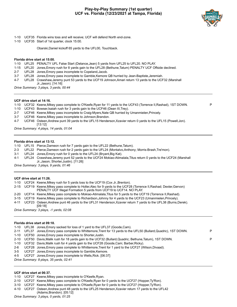#### **Play-by-Play Summary (1st quarter) UCF vs. Florida (12/23/2021 at Tampa, Florida)**



- 1-10 UCF35 Florida wins toss and will receive; UCF will defend North end-zone.
- 1-10 UCF35 Start of 1st quarter, clock 15:00.

Obarski,Daniel kickoff 65 yards to the UFL00, Touchback.

#### **Florida drive start at 15:00.**

1-10 UFL25 PENALTY UFL False Start (Delance,Jean) 5 yards from UFL25 to UFL20. NO PLAY.

- 1-15 UFL20 Jones,Emory rush for 8 yards gain to the UFL28 (Bethune,Tatum) PENALTY UCF Offside declined.
- 2-7 UFL28 Jones,Emory pass incomplete to Copeland,Jacob.
- 3-7 UFL28 Jones,Emory pass incomplete to Gamble,Kemore QB hurried by Jean-Baptiste,Jeremiah.
- 4-7 UFL28 Crawshaw,Jeremy punt 53 yards to the UCF19 Johnson,Amari return 13 yards to the UCF32 (Marshall Jr.,Jason). [14:16]

*Drive Summary: 3 plays, 3 yards, 00:44*

#### **UCF drive start at 14:16.**

- 1-10 UCF32 Keene,Mikey pass complete to O'Keefe,Ryan for 11 yards to the UCF43 (Torrence II,Rashad), 1ST DOWN. P
- 1-10 UCF43 Bowser,Isaiah rush for 3 yards gain to the UCF46 (Dean III,Trey).
- 2-7 UCF46 Keene,Mikey pass incomplete to Craig-Myers,Nate QB hurried by Umanmielen,Princely.
- 3-7 UCF46 Keene,Mikey pass incomplete to Johnson,Brandon.
- 4-7 UCF46 Osteen,Andrew punt 39 yards to the UFL15 Henderson,Xzavier return 0 yards to the UFL15 (Powell,Jon). [13:12]

*Drive Summary: 4 plays, 14 yards, 01:04*

#### **Florida drive start at 13:12.**

1-10 UFL15 Pierce,Dameon rush for 7 yards gain to the UFL22 (Bethune,Tatum).

- 2-3 UFL22 Pierce,Dameon rush for 2 yards gain to the UFL24 (Montalvo,Anthony; Morris-Brash,Tre'mon).
- 3-1 UFL24 Jones,Emory rush for 0 yards to the UFL24 (Bryant,Big Kat).

4-1 UFL24 Crawshaw,Jeremy punt 52 yards to the UCF24 Mokiao-Atimalala,Titus return 0 yards to the UCF24 (Marshall Jr.,Jason; Shorter,Justin). [11:26]

*Drive Summary: 3 plays, 9 yards, 01:46*

#### **UCF drive start at 11:26.**

1-10 UCF24 Keene,Mikey rush for 5 yards loss to the UCF19 (Cox Jr.,Brenton).

- 2-15 UCF19 Keene,Mikey pass complete to Holler,Alec for 9 yards to the UCF28 (Torrence II,Rashad; Dexter,Gervon) PENALTY UCF Illegal Formation 5 yards from UCF19 to UCF14. NO PLAY.
- 2-20 UCF14 Keene,Mikey pass complete to Mokiao-Atimalala,Titus for 5 yards to the UCF19 (Torrence II,Rashad).
- 3-15 UCF19 Keene,Mikey pass complete to Richardson,Johnny for 4 yards to the UCF23 (Umanmielen,Princely).
- 4-11 UCF23 Osteen,Andrew punt 46 yards to the UFL31 Henderson,Xzavier return 7 yards to the UFL38 (Burns,Derek).
- [09:18] *Drive Summary: 3 plays, -1 yards, 02:08*

#### **Florida drive start at 09:18.**

|     | 1-10 UFL38 Jones, Emory sacked for loss of 1 yard to the UFL37 (Goode, Cam).                                       |   |
|-----|--------------------------------------------------------------------------------------------------------------------|---|
|     | 2-11 UFL37 Jones, Emory pass complete to Whittemore, Trent for 13 yards to the UFL50 (Bullard, Quadric), 1ST DOWN. | P |
|     | 1-10 UCF50 Jones, Emory pass incomplete to Shorter, Justin.                                                        |   |
|     | 2-10 UCF50 Davis, Malik rush for 18 yards gain to the UCF32 (Bullard, Quadric: Bethune, Tatum), 1ST DOWN.          | D |
|     | 1-10 UCF32 Davis, Malik rush for 4 yards gain to the UCF28 (Goode, Cam; Barber, Ricky).                            |   |
| 2-6 | UCF28 Jones, Emory pass complete to Whittemore, Trent for 1 yard to the UCF27 (Wilson, Divaad).                    |   |

- 3-5 UCF27 Jones,Emory pass incomplete to Gamble,Kemore.
- 4-5 UCF27 Jones,Emory pass incomplete to Wells,Rick. [06:37]

#### **UCF drive start at 06:37.**

- 1-10 UCF27 Keene,Mikey pass incomplete to O'Keefe,Ryan.
- 2-10 UCF27 Keene,Mikey pass complete to O'Keefe,Ryan for 0 yards to the UCF27 (Hopper,Ty'Ron).
- 3-10 UCF27 Keene,Mikey pass complete to O'Keefe,Ryan for 0 yards to the UCF27 (Hopper,Ty'Ron).
- 4-10 UCF27 Osteen,Andrew punt 48 yards to the UFL25 Henderson,Xzavier return 17 yards to the UFL42 (Adams,Brandon). [05:12]

*Drive Summary: 8 plays, 35 yards, 02:41*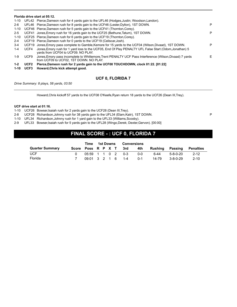|          |             | Florida drive start at 05:12.                                                                                                                       |    |
|----------|-------------|-----------------------------------------------------------------------------------------------------------------------------------------------------|----|
|          |             | 1-10 UFL42 Pierce, Dameon rush for 4 yards gain to the UFL46 (Hodges, Justin; Woodson, Landon).                                                     |    |
| $2-6$    |             | UFL46 Pierce, Dameon rush for 8 yards gain to the UCF46 (Lester, Dyllon), 1ST DOWN.                                                                 | P  |
| 1-10     |             | UCF46 Pierce, Dameon rush for 5 yards gain to the UCF41 (Thornton, Corey).                                                                          |    |
| $2 - 5$  |             | UCF41 Jones, Emory rush for 16 yards gain to the UCF25 (Bethune, Tatum), 1ST DOWN.                                                                  | P  |
| 1-10     |             | UCF25 Pierce, Dameon rush for 6 yards gain to the UCF19 (Thornton, Corey).                                                                          |    |
| $2 - 4$  |             | UCF19 Pierce, Dameon rush for 0 yards to the UCF19 (Celiscar, Josh).                                                                                |    |
| $3 - 4$  |             | UCF19 Jones, Emory pass complete to Gamble, Kemore for 15 yards to the UCF04 (Wilson, Divaad), 1ST DOWN.                                            | P  |
| $1 - 4$  | UCF4        | Jones, Emory rush for 1 yard loss to the UCF05, End Of Play PENALTY UFL False Start (Odom, Jonathan) 5<br>vards from UCF04 to UCF09. NO PLAY.       |    |
| $1-9$    | UCF9        | Jones, Emory pass incomplete to Whittemore, Trent PENALTY UCF Pass Interference (Wilson, Divaad) 7 yards<br>from UCF09 to UCF02, 1ST DOWN. NO PLAY. | F. |
| $1 - 2$  | <b>UCF2</b> | Pierce, Dameon rush for 2 yards gain to the UCF00 TOUCHDOWN, clock 01:22. [01:22]                                                                   |    |
| $1 - 10$ | UCF3        | Howard, Chris kick attempt good.                                                                                                                    |    |

### **UCF 0, FLORIDA 7**

*Drive Summary: 8 plays, 58 yards, 03:50*

Howard,Chris kickoff 57 yards to the UCF08 O'Keefe,Ryan return 18 yards to the UCF26 (Dean III,Trey).

#### **UCF drive start at 01:16.**

1-10 UCF26 Bowser,Isaiah rush for 2 yards gain to the UCF28 (Dean III,Trey).

2-8 UCF28 Richardson, Johnny rush for 38 yards gain to the UFL34 (Elam, Kaiir), 1ST DOWN.

1-10 UFL34 Richardson,Johnny rush for 1 yard gain to the UFL33 (Williams,Scooby).

2-9 UFL33 Bowser,Isaiah rush for 5 yards gain to the UFL28 (Wingo,Derek; Dexter,Gervon). [00:00]

# **FINAL SCORE - : UCF 0, FLORIDA 7**

|                        |                    | Time              |  | 1st Downs | Conversions |         |         |          |           |
|------------------------|--------------------|-------------------|--|-----------|-------------|---------|---------|----------|-----------|
| <b>Quarter Summary</b> | Score Poss R P X T |                   |  |           | 3rd         | 4th     | Rushina | Passing  | Penalties |
| <b>UCF</b>             |                    | 05:59 1 1 0 2 0-3 |  |           |             | 0-0     | հ-44    | 5-8-0-20 | $2 - 12$  |
| Florida                |                    | 09:01 3 2 1 6 1-4 |  |           |             | $0 - 1$ | 14-79   | 3-8-0-29 | $2 - 10$  |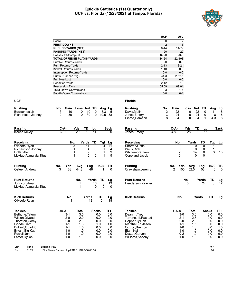#### **Quickie Statistics (1st Quarter only) UCF vs. Florida (12/23/2021 at Tampa, Florida)**



|                                   | <b>UCF</b>     | <b>UFL</b>  |
|-----------------------------------|----------------|-------------|
| Score                             | 0              |             |
| <b>FIRST DOWNS</b>                | $\overline{2}$ | 6           |
| <b>RUSHES-YARDS (NET)</b>         | $6 - 44$       | 14-79       |
| <b>PASSING-YARDS (NET)</b>        | 20             | 29          |
| Passes Att-Comp-Int               | $8 - 5 - 0$    | $8 - 3 - 0$ |
| <b>TOTAL OFFENSE PLAYS-YARDS</b>  | 14-64          | 22-108      |
| Fumble Returns-Yards              | $0 - 0$        | $0-0$       |
| <b>Punt Returns-Yards</b>         | $2 - 13$       | $3 - 24$    |
| Kickoff Returns-Yards             | $1 - 18$       | $0 - 0$     |
| <b>Interception Returns-Yards</b> | $0 - 0$        | $0 - 0$     |
| Punts (Number-Avg)                | $3 - 44.3$     | $2 - 52.5$  |
| Fumbles-Lost                      | $0 - 0$        | $0 - 0$     |
| Penalties-Yards                   | $2 - 12$       | $2 - 10$    |
| Possession Time                   | 05:59          | 09:01       |
| <b>Third-Down Conversions</b>     | $0 - 3$        | $1 - 4$     |
| Fourth-Down Conversions           | $0 - 0$        | $0 - 1$     |

| <b>Rushing</b>                                                                                                                          | Gain<br>No.                                                                          | Loss                                                              | Net TD                                                                | Avg Lg                                               |                                                      | <b>Rushing</b>                                                                                                                                          | No.         | Gain                        | Loss                                                                           | <b>Net</b>                                           | TD                                                           | Avç                                                  |
|-----------------------------------------------------------------------------------------------------------------------------------------|--------------------------------------------------------------------------------------|-------------------------------------------------------------------|-----------------------------------------------------------------------|------------------------------------------------------|------------------------------------------------------|---------------------------------------------------------------------------------------------------------------------------------------------------------|-------------|-----------------------------|--------------------------------------------------------------------------------|------------------------------------------------------|--------------------------------------------------------------|------------------------------------------------------|
| Bowser, Isaiah<br>Richardson, Johnny                                                                                                    | 3<br>10<br>39<br>2                                                                   | 0<br>$\Omega$                                                     | 10<br>0<br>39<br>$\mathbf 0$                                          | $\overline{3.3}$<br>19.5                             | 5<br>-38                                             | Davis.Malik<br>Jones, Emory<br>Pierce, Dameon                                                                                                           | 2<br>3<br>8 | $\overline{22}$<br>24<br>34 | 0<br>0<br>$\mathbf{0}$                                                         | $\overline{22}$<br>24<br>34                          | 0<br>0<br>$\mathbf{1}$                                       | $1^{\circ}$<br>4.3                                   |
| <b>Passing</b><br>Keene, Mikey                                                                                                          | C-A-I<br>$6 - 9 - 0$                                                                 | TD<br>Yds<br>29<br>$\overline{0}$                                 | Lg<br>$\overline{11}$                                                 |                                                      | <b>Sack</b><br>$\Omega$                              | <b>Passing</b><br>Jones, Emory                                                                                                                          |             | C-A-I<br>$3 - 8 - 0$        | Yds<br>28                                                                      | TD<br>$\overline{0}$                                 | <u>Lg</u><br>15                                              |                                                      |
|                                                                                                                                         |                                                                                      |                                                                   |                                                                       |                                                      |                                                      |                                                                                                                                                         |             |                             |                                                                                |                                                      |                                                              |                                                      |
| Receiving                                                                                                                               |                                                                                      | No.<br>Yards                                                      | TD                                                                    | Tgt                                                  | Lg                                                   | Receiving                                                                                                                                               |             | No.                         |                                                                                | Yards                                                | TD                                                           | <b>Tgt</b>                                           |
| O'Keefe, Ryan<br>Richardson, Johnny<br>Holler, Alec<br>Mokiao-Atimalala, Titus                                                          |                                                                                      | 3<br>$\overline{11}$<br>1                                         | 0<br>$\begin{array}{c} 4 \\ 9 \\ 5 \end{array}$<br>0<br>0<br>$\Omega$ | 4<br>1<br>1<br>1                                     | 11<br>4<br>$\frac{9}{5}$                             | Shorter Justin<br><b>Wells.Rick</b><br>Whittemore, Trent<br>Copeland, Jacob                                                                             |             | 0<br>0<br>$\frac{2}{0}$     |                                                                                | 0<br>0<br>14<br>$\Omega$                             | $\overline{0}$<br>$\mathbf 0$<br>$\mathbf 0$<br>$\mathbf{0}$ | 1<br>3<br>1                                          |
| <b>Punting</b>                                                                                                                          | Yds<br>No.                                                                           | Avg                                                               | Lng                                                                   | In20                                                 | <u>ТВ</u>                                            | <b>Punting</b>                                                                                                                                          |             | No.                         | Yds                                                                            | Avg                                                  | Lng                                                          | In20                                                 |
| Osteen, Andrew                                                                                                                          | 133<br>3                                                                             | 44.3                                                              | 48                                                                    |                                                      | $\Omega$                                             | Crawshaw, Jeremy                                                                                                                                        |             | 2                           | 105                                                                            | 52.5                                                 | $\overline{53}$                                              | O                                                    |
| <b>Punt Returns</b>                                                                                                                     |                                                                                      | No.                                                               | Yards                                                                 | TD                                                   | Lg                                                   | <b>Punt Returns</b>                                                                                                                                     |             |                             | No.                                                                            |                                                      | Yards                                                        | TD                                                   |
| Johnson.Amari<br>Mokiao-Atimalala, Titus                                                                                                |                                                                                      | 1<br>1                                                            | $\overline{13}$<br>$\Omega$                                           | $\Omega$<br>$\Omega$                                 | $\overline{13}$<br>$\Omega$                          | Henderson, Xzavier                                                                                                                                      |             |                             |                                                                                |                                                      | 24                                                           | $\overline{0}$                                       |
| <b>Kick Returns</b>                                                                                                                     | No.                                                                                  |                                                                   | Yards                                                                 | TD                                                   | <u>Lg</u><br>18                                      | <b>Kick Returns</b>                                                                                                                                     |             | No.                         |                                                                                | Yards                                                |                                                              | TD                                                   |
| O'Keefe, Ryan                                                                                                                           |                                                                                      |                                                                   | $\overline{18}$                                                       | $\overline{0}$                                       |                                                      |                                                                                                                                                         |             |                             |                                                                                |                                                      |                                                              |                                                      |
| <b>Tackles</b>                                                                                                                          | UA-A                                                                                 | Total                                                             | <b>Sacks</b>                                                          |                                                      | TFL                                                  | <b>Tackles</b>                                                                                                                                          |             | UA-A                        |                                                                                | Total                                                |                                                              | <b>Sacks</b>                                         |
| Bethune, Tatum<br>Wilson, Divaad<br>Thornton, Corey<br>Goode.Cam<br>Bullard, Quadric<br>Bryant, Big Kat<br>Powell.Jon<br>Lester, Dyllon | $3 - 1$<br>$2 - 0$<br>$2 - 0$<br>$1 - 1$<br>$1 - 1$<br>$1 - 0$<br>$1 - 0$<br>$1 - 0$ | $\overline{3.5}$<br>2.0<br>2.0<br>1.5<br>1.5<br>1.0<br>1.0<br>1.0 |                                                                       | 0.0<br>0.0<br>0.0<br>1.0<br>0.0<br>0.0<br>0.0<br>0.0 | 0.0<br>0.0<br>0.0<br>1.0<br>0.0<br>0.0<br>0.0<br>0.0 | Dean III, Trey<br>Torrence II, Rashad<br>Hopper, Ty'Ron<br>Marshall Jr., Jason<br>Cox Jr., Brenton<br>Elam, Kaiir<br>Dexter, Gervon<br>Williams, Scooby |             |                             | $3-0$<br>$2 - 1$<br>$2 - 0$<br>$1 - 1$<br>$1-0$<br>$1 - 0$<br>$0 - 2$<br>$1-0$ | 3.0<br>2.5<br>2.0<br>1.5<br>1.0<br>1.0<br>1.0<br>1.0 |                                                              | 0.0<br>0.0<br>0.0<br>0.0<br>0.0<br>0.0<br>0.0<br>0.0 |
| <b>Scoring Play</b><br>Qtr<br>Time                                                                                                      |                                                                                      |                                                                   |                                                                       |                                                      |                                                      |                                                                                                                                                         |             |                             |                                                                                |                                                      |                                                              | V-H                                                  |

| Qtr | Time                                         | <b>Scoring Play</b>                             | V-H |
|-----|----------------------------------------------|-------------------------------------------------|-----|
| 1st | 01:22<br>the contract of the contract of the | - Pierce, Dameon 2 yd TD RUSH 8-58 03:50<br>UFL |     |

| <b>Rushing</b>      | No.           | Gain                   |                         | Loss            | <b>Net</b>       | TD                        | Avg          | Lg              |
|---------------------|---------------|------------------------|-------------------------|-----------------|------------------|---------------------------|--------------|-----------------|
| Davis, Malik        | $\frac{2}{3}$ | 22                     |                         | 0               | 22               | 0                         | 11           | 18              |
| Jones, Emory        |               | 24                     |                         | 0               | 24               | 0                         | 8            | 16              |
| Pierce, Dameon      | 8             | 34                     |                         | 0               | 34               | 1                         | 4.3          | 8               |
|                     |               |                        |                         |                 |                  |                           |              |                 |
| Passing             |               | C-A-I                  |                         | Yds             | $\frac{TD}{0}$   | <u>Lg</u><br>15           |              | Sack            |
| Jones, Emory        |               | $3 - 8 - 0$            |                         | $\overline{28}$ |                  |                           |              |                 |
| Receiving           |               |                        | No.                     |                 | Yards            | TD                        | Tgt          | Lg              |
| Shorter, Justin     |               |                        | $\overline{0}$          |                 | 0                | $\overline{0}$            | 1            |                 |
| <b>Wells, Rick</b>  |               |                        | 0                       |                 | $\mathbf{0}$     | 0                         | 1            |                 |
| Whittemore, Trent   |               |                        | $\overline{\mathbf{c}}$ |                 | 14               | $\mathbf{0}$              | 3            | 13              |
| Copeland, Jacob     |               |                        | $\Omega$                |                 | 0                | $\Omega$                  |              |                 |
| Punting             |               |                        | Yds                     | <u>Avg</u>      |                  | Lng                       | In20         | TB              |
| Crawshaw, Jeremy    |               | $\frac{\text{No.}}{2}$ | 105                     | 52 <sub>5</sub> |                  | $\overline{53}$           |              |                 |
| <b>Punt Returns</b> |               |                        |                         | No.             |                  |                           | TD           |                 |
| Henderson, Xzavier  |               |                        |                         |                 |                  | $\frac{\text{Yards}}{24}$ |              | <u>Lg</u><br>17 |
|                     |               |                        |                         |                 |                  |                           |              |                 |
| <b>Kick Returns</b> |               |                        | No.                     |                 | Yards            |                           | TD           | Lg              |
|                     |               |                        |                         |                 |                  |                           |              |                 |
| <b>Tackles</b>      |               | UA-A                   |                         |                 | Total            |                           | <b>Sacks</b> | TFL             |
| Dean III, Trey      |               |                        | $3-0$                   |                 | $\overline{3.0}$ |                           | 0.0          | 0.0             |
| Torrence II, Rashad |               |                        | $2 - 1$                 |                 | 2.5              |                           | 0.0          | 0.0             |
| Hopper, Ty'Ron      |               |                        | $2 - 0$                 |                 | 2.0              |                           | 0.0          | 0.0             |
| Marshall Jr., Jason |               |                        | $1 - 1$                 |                 | 1.5              |                           | 0.0          | 0.0             |
| Cox Jr., Brenton    |               |                        | $1 - 0$                 |                 | 1.0              |                           | 0.0          | 1.0             |
| Elam, Kaiir         |               |                        | $1 - 0$                 |                 | 1.0              |                           | 0.0          | 0.0             |
| Dexter, Gervon      |               |                        | $0 - 2$                 |                 | 1.0              |                           | 0.0          | 0.0             |
| Williams, Scooby    |               |                        | $1 - 0$                 |                 | 1.0              |                           | 0.0          | 0.0             |
|                     |               |                        |                         |                 |                  |                           |              |                 |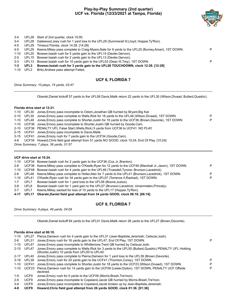#### **Play-by-Play Summary (2nd quarter) UCF vs. Florida (12/23/2021 at Tampa, Florida)**



| $3 - 4$ |       | UFL28 Start of 2nd quarter, clock 15:00.                                                                      |   |
|---------|-------|---------------------------------------------------------------------------------------------------------------|---|
| $3 - 4$ |       | UFL28 Gatewood, Joey rush for 1 yard loss to the UFL29 (Summerall III, Lloyd; Hopper, Ty'Ron).                |   |
| 4-5     |       | UFL29 Timeout Florida, clock 14:28. [14:28]                                                                   |   |
|         |       | 4-5 UFL29 Keene, Mikey pass complete to Craig-Myers, Nate for 9 yards to the UFL20 (Burney, Amari), 1ST DOWN. | P |
|         |       | 1-10 UFL20 Bowser, Isaiah rush for 5 yards gain to the UFL15 (Dexter, Gervon).                                |   |
| $2 - 5$ |       | UFL15 Bowser, Isaiah rush for 2 yards gain to the UFL13 (Dexter, Gervon).                                     |   |
| $3 - 3$ | UFL13 | Bowser, Isaiah rush for 10 yards gain to the UFL03 (Dean III, Trey), 1ST DOWN.                                | P |
| $1 - 3$ | UFL3  | Bowser, Isaiah rush for 3 yards gain to the UFL00 TOUCHDOWN, clock 12:29. [12:29]                             |   |
| 1-10    | UFL3  | Brito, Andrew pass attempt Failed.                                                                            |   |
|         |       |                                                                                                               |   |

#### **UCF 6, FLORIDA 7**

*Drive Summary: 10 plays, 74 yards, 03:47*

Obarski,Daniel kickoff 57 yards to the UFL08 Davis,Malik return 22 yards to the UFL30 (Wilson,Divaad; Bullard,Quadric).

#### **Florida drive start at 12:21.**

| 1-10     | UFL30 | Jones, Emory pass incomplete to Odom, Jonathan QB hurried by Bryant, Big Kat.                                |   |
|----------|-------|--------------------------------------------------------------------------------------------------------------|---|
| $2 - 10$ | UFL30 | Jones, Emory pass complete to Wells, Rick for 18 yards to the UFL48 (Wilson, Divaad), 1ST DOWN.              | P |
| $1 - 10$ | UFL48 | Jones, Emory pass complete to Shorter, Justin for 16 yards to the UCF36 (Brown, Davonte), 1ST DOWN.          | P |
| 1-10     |       | UCF36 Jones, Emory pass incomplete to Shorter, Justin QB hurried by Goode, Cam.                              |   |
| $2 - 10$ |       | UCF36 PENALTY UFL False Start (Wells, Rick) 5 yards from UCF36 to UCF41, NO PLAY.                            |   |
| $2 - 15$ |       | UCF41 Jones, Emory pass incomplete to Davis, Malik.                                                          |   |
| 3-15     |       | UCF41 Jones, Emory rush for 7 yards gain to the UCF34 (Goode, Cam).                                          |   |
| 4-8      |       | UCF34 Howard, Chris field goal attempt from 51 yards NO GOOD, clock 10:24, End Of Play. [10:24]              |   |
|          |       | Drive Summary: 7 plays, 36 yards, 01:57                                                                      |   |
|          |       |                                                                                                              |   |
|          |       | UCF drive start at 10:24.                                                                                    |   |
| 1-10     |       | UCF34 Bowser, Isaiah rush for 2 yards gain to the UCF36 (Cox Jr., Brenton).                                  |   |
| $2 - 8$  |       | UCF36 Keene, Mikey pass complete to O'Keefe, Ryan for 12 yards to the UCF48 (Marshall Jr., Jason), 1ST DOWN. | P |
| 1-10     |       | UCF48 Bowser, Isaiah rush for 4 yards gain to the UFL48 (Truesdell, Tyrone: Brunson, Lacedrick).             |   |

|     |          | $\sim$ 001 For Bowder, locating the Figure gain to the OFEFO (Tracederi, Lyrone, Brandon, Lacedrick).         |   |
|-----|----------|---------------------------------------------------------------------------------------------------------------|---|
|     |          | 2-6 UFL48 Keene, Mikey pass complete to Holler, Alec for 7 yards to the UFL41 (Brunson, Lacedrick), 1ST DOWN. | P |
|     |          | 1-10 UFL41 O'Keefe, Ryan rush for 34 yards gain to the UFL07 (Torrence II, Rashad), 1ST DOWN.                 | P |
|     | 1-7 UFL7 | Bowser, Isaiah rush for 1 yard loss to the UFL08 (Boone, Justus).                                             |   |
| 2-8 | UFL8     | Bowser, Isaiah rush for 1 yard gain to the UFL07 (Brunson, Lacedrick; Umanmielen, Princely).                  |   |
|     |          |                                                                                                               |   |

3-7 UFL7 Keene,Mikey sacked for loss of 10 yards to the UFL17 (Hopper,Ty'Ron). **4-17 UFL17 Obarski,Daniel field goal attempt from 34 yards GOOD, clock 06:16. [06:16]**

### **UCF 9, FLORIDA 7**

*Drive Summary: 9 plays, 49 yards, 04:08*

Obarski,Daniel kickoff 64 yards to the UFL01 Davis,Malik return 26 yards to the UFL27 (Brown,Davonte).

#### **Florida drive start at 06:10.**

| $1 - 10$ | UFL27            | Pierce, Dameon rush for 4 yards gain to the UFL31 (Jean-Baptiste, Jeremiah; Celiscar, Josh).                                                                 |   |
|----------|------------------|--------------------------------------------------------------------------------------------------------------------------------------------------------------|---|
| $2-6$    | UFL31            | Jones, Emory rush for 16 yards gain to the UFL47, End Of Play, 1ST DOWN.                                                                                     | P |
| $1 - 10$ | UFL47            | Jones, Emory pass incomplete to Whittemore, Trent QB hurried by Celiscar, Josh.                                                                              |   |
| $2 - 10$ | UFL47            | Jones, Emory pass complete to Wells, Rick for 3 yards to the UFL50 (Bullard, Quadric) PENALTY UFL Holding<br>(Shorter, Justin) 10 yards from UFL50 to UFL40. |   |
| $2 - 17$ | UFL40            | Jones, Emory pass complete to Pierce, Dameon for 1 yard loss to the UFL39 (Brown, Davonte).                                                                  |   |
| $3-18$   | UFL39            | Jones, Emory rush for 20 yards gain to the UCF41 (Thornton, Corey), 1ST DOWN.                                                                                | P |
| $1 - 10$ | UCF41            | Jones, Emory pass complete to Shorter, Justin for 18 yards to the UCF23 (Wilson, Divaad), 1ST DOWN.                                                          | P |
| 1-10     | UCF23            | Pierce, Dameon rush for 14 yards gain to the UCF09 (Lester, Dyllon), 1ST DOWN, PENALTY UCF Offside<br>declined.                                              | P |
| 1-9      | UCF <sub>9</sub> | Jones, Emory rush for 0 yards to the UCF09 (Morris-Brash, Tre'mon).                                                                                          |   |
| $2-9$    | UCF9             | Jones, Emory pass incomplete to Copeland, Jacob QB hurried by Morris-Brash, Tre'mon.                                                                         |   |
| $3-9$    | UCF9             | Jones, Emory pass incomplete to Copeland, Jacob broken up by Jean-Baptiste, Jeremiah.                                                                        |   |
|          |                  |                                                                                                                                                              |   |

**4-9 UCF9 Howard,Chris field goal attempt from 26 yards GOOD, clock 01:36. [01:36]**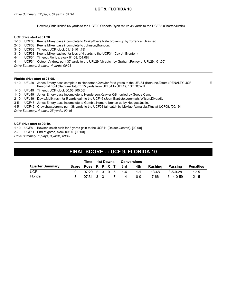Howard,Chris kickoff 65 yards to the UCF00 O'Keefe,Ryan return 38 yards to the UCF38 (Shorter,Justin).

#### **UCF drive start at 01:28.**

1-10 UCF38 Keene,Mikey pass incomplete to Craig-Myers,Nate broken up by Torrence II,Rashad. 2-10 UCF38 Keene,Mikey pass incomplete to Johnson,Brandon. 3-10 UCF38 Timeout UCF, clock 01:19. [01:19] 3-10 UCF38 Keene,Mikey sacked for loss of 4 yards to the UCF34 (Cox Jr.,Brenton). 4-14 UCF34 Timeout Florida, clock 01:08. [01:08] 4-14 UCF34 Osteen,Andrew punt 37 yards to the UFL29 fair catch by Graham,Fenley at UFL29. [01:05] *Drive Summary: 3 plays, -4 yards, 00:23*

#### **Florida drive start at 01:05.**

|                                         | Personal Foul (Bethune, Tatum) 15 yards from UFL34 to UFL49, 1ST DOWN. | F.                                                                                                                                                                                                                                                                                                                                                                                                                                                                                                                                                                          |  |  |  |  |  |
|-----------------------------------------|------------------------------------------------------------------------|-----------------------------------------------------------------------------------------------------------------------------------------------------------------------------------------------------------------------------------------------------------------------------------------------------------------------------------------------------------------------------------------------------------------------------------------------------------------------------------------------------------------------------------------------------------------------------|--|--|--|--|--|
|                                         |                                                                        |                                                                                                                                                                                                                                                                                                                                                                                                                                                                                                                                                                             |  |  |  |  |  |
|                                         |                                                                        |                                                                                                                                                                                                                                                                                                                                                                                                                                                                                                                                                                             |  |  |  |  |  |
|                                         |                                                                        |                                                                                                                                                                                                                                                                                                                                                                                                                                                                                                                                                                             |  |  |  |  |  |
|                                         |                                                                        |                                                                                                                                                                                                                                                                                                                                                                                                                                                                                                                                                                             |  |  |  |  |  |
|                                         |                                                                        |                                                                                                                                                                                                                                                                                                                                                                                                                                                                                                                                                                             |  |  |  |  |  |
| Drive Summary: 4 plays, 25 yards, 00:46 |                                                                        |                                                                                                                                                                                                                                                                                                                                                                                                                                                                                                                                                                             |  |  |  |  |  |
|                                         |                                                                        |                                                                                                                                                                                                                                                                                                                                                                                                                                                                                                                                                                             |  |  |  |  |  |
|                                         | 4-5                                                                    | 1-10 UFL29 Jones, Emory pass complete to Henderson, Xzavier for 5 yards to the UFL34 (Bethune, Tatum) PENALTY UCF<br>1-10 UFL49 Timeout UCF, clock 00:56. [00:56]<br>1-10 UFL49 Jones, Emory pass incomplete to Henderson, Xzavier QB hurried by Goode, Cam.<br>2-10 UFL49 Davis, Malik rush for 5 yards gain to the UCF46 (Jean-Baptiste, Jeremiah; Wilson, Divaad).<br>3-5 UCF46 Jones, Emory pass incomplete to Gamble, Kemore broken up by Hodges, Justin.<br>UCF46 Crawshaw, Jeremy punt 38 yards to the UCF08 fair catch by Mokiao-Atimalala, Titus at UCF08. [00:19] |  |  |  |  |  |

#### **UCF drive start at 00:19.**

1-10 UCF8 Bowser,Isaiah rush for 3 yards gain to the UCF11 (Dexter,Gervon). [00:00]

2-7 UCF11 End of game, clock 00:00. [00:00]

*Drive Summary: 1 plays, 3 yards, 00:19*

# **FINAL SCORE - : UCF 9, FLORIDA 10**

|                        | Time                | 1st Downs |  | <b>Conversions</b> |                        |        |         |             |                  |
|------------------------|---------------------|-----------|--|--------------------|------------------------|--------|---------|-------------|------------------|
| <b>Quarter Summary</b> |                     |           |  |                    | Score Poss R P X T 3rd | 4th    | Rushing | Passing     | <b>Penalties</b> |
| <b>UCF</b>             |                     |           |  |                    | 07:29 2 3 0 5 1-4      | $-1-1$ | 13-48   | 3-5-0-28    | $1 - 15$         |
| Florida                | $07:31$ 3 3 1 7 1-4 |           |  |                    |                        | 0-0    | 7-66    | ٬ 6-14-0-59 | $2 - 15$         |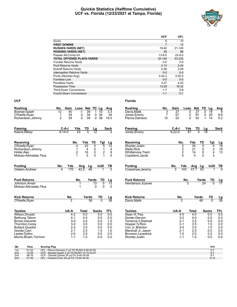#### **Quickie Statistics (Halftime Cumulative) UCF vs. Florida (12/23/2021 at Tampa, Florida)**



|                                   | <b>UCF</b>   | <b>UFL</b>   |
|-----------------------------------|--------------|--------------|
| Score                             | 9            | 10           |
| <b>FIRST DOWNS</b>                | 7            | 13           |
| <b>RUSHES-YARDS (NET)</b>         | 19-92        | $21 - 145$   |
| <b>PASSING-YARDS (NET)</b>        | 48           | 88           |
| Passes Att-Comp-Int               | $13 - 8 - 0$ | $22 - 9 - 0$ |
| <b>TOTAL OFFENSE PLAYS-YARDS</b>  | $32 - 140$   | 43-233       |
| Fumble Returns-Yards              | $0 - 0$      | $0-0$        |
| <b>Punt Returns-Yards</b>         | $2 - 13$     | $3 - 24$     |
| Kickoff Returns-Yards             | $2 - 56$     | $2 - 48$     |
| <b>Interception Returns-Yards</b> | $0 - 0$      | $0 - 0$      |
| Punts (Number-Avg)                | $3 - 44.3$   | $2 - 52.5$   |
| Fumbles-Lost                      | $0 - 0$      | $0 - 0$      |
| Penalties-Yards                   | $3 - 27$     | $4 - 25$     |
| Possession Time                   | 13:28        | 16:32        |
| <b>Third-Down Conversions</b>     | $1 - 7$      | $2 - 8$      |
| <b>Fourth-Down Conversions</b>    | $1 - 1$      | $0 - 1$      |

| <b>Rushing</b>          | No.            | Gain         | Loss          | <b>Net</b>                    | TD              | Lg                 | Avg                     |
|-------------------------|----------------|--------------|---------------|-------------------------------|-----------------|--------------------|-------------------------|
| Bowser, Isaiah          | 12             | 40           | $-1$          | $\overline{39}$               | 1               | 10                 | 3.3                     |
| O'Keefe, Ryan           | 1              | 34           |               | 34<br>0                       | 0               | 34                 | 34                      |
| Richardson, Johnny      | $\overline{2}$ | 39           |               | 39<br>0                       | $\Omega$        | 38                 | 19.5                    |
| Passing                 |                | C-A-I        | <u>Yds</u>    | $rac{TD}{0}$                  | <u>Lg</u><br>12 |                    | $\frac{\text{Sack}}{2}$ |
| Keene, Mikey            |                | $9 - 14 - 0$ | 43            |                               |                 |                    |                         |
| <b>Receiving</b>        |                |              | No.           | Yds                           | TD              | Tgt                | Lg                      |
| O'Keefe, Ryan           |                |              | 4             | 23                            | 0               | 5                  | $\overline{12}$         |
| Richardson, Johnny      |                |              | 1             | 4                             | 0               | $\mathbf 1$        | 4<br>9<br>5             |
| Holler, Alec            |                |              | $\frac{2}{1}$ | 16                            | 0               | $\frac{1}{2}$<br>1 |                         |
| Mokiao-Atimalala, Titus |                |              |               | 5                             | 0               |                    |                         |
| <b>Punting</b>          | <u>No.</u>     | Yds          |               | Avg<br>$\frac{\text{Lg}}{48}$ |                 | In20               | $\frac{1}{\sqrt{2}}$    |
| Osteen, Andrew          |                | 170          |               | 42.5                          |                 |                    |                         |
| <b>Punt Returns</b>     |                |              | No.           |                               | Yards           | TD                 |                         |
| Johnson, Amari          |                |              | 1             |                               | 13              | $\overline{0}$     | $\frac{Lg}{13}$         |
| Mokiao-Atimalala, Titus |                |              | 1             |                               | U               | $\Omega$           | U                       |
| <b>Kick Returns</b>     |                | <u>No.</u>   |               | Yards                         |                 | TD                 |                         |
| O'Keefe, Ryan           |                |              |               | 56                            |                 |                    |                         |
| <b>Tackles</b>          |                | UA-A         |               | <b>Total</b>                  | <b>Sacks</b>    |                    | <b>TFL</b>              |
| Wilson, Divaad          |                | $4 - 2$      |               | 5.0                           |                 | 0.0                | 0.0                     |
| Bethune, Tatum          |                | $4 - 1$      |               | 4.5                           |                 | 0.0                | 0.0                     |
| Brown, Davonte          |                | $3-0$        |               | 3.0                           |                 | 0.0                | 1.0                     |
| Thornton, Corey         |                | $3-0$        |               | 3.0                           |                 | 0.0                | 0.0                     |
| Bullard, Quadric        |                | $2 - 2$      |               | 3.0                           |                 | 0.0                | 0.0                     |
| Goode, Cam              |                | $2 - 1$      |               | 2.5                           |                 | 1.0                | 1.0                     |
| Lester, Dyllon          |                | $2 - 0$      |               | 2.0                           |                 | 0.0                | 0.0                     |
| Morris-Brash, Tre'mon   |                | $1 - 1$      |               | 1.5                           |                 | 0.0                | 0.0                     |

| No. | Gain |                     |                                                                                                                                                          |                                                 | Lg                                                                                                                                       | Avg                                                                                                                    |
|-----|------|---------------------|----------------------------------------------------------------------------------------------------------------------------------------------------------|-------------------------------------------------|------------------------------------------------------------------------------------------------------------------------------------------|------------------------------------------------------------------------------------------------------------------------|
| 3   | 27   |                     | 0                                                                                                                                                        |                                                 | 18                                                                                                                                       | 9                                                                                                                      |
| 7   | 67   |                     | 0                                                                                                                                                        |                                                 | 20                                                                                                                                       | 9.6                                                                                                                    |
| 10  | 52   |                     | 0                                                                                                                                                        |                                                 | 14                                                                                                                                       | 5.2                                                                                                                    |
|     |      |                     |                                                                                                                                                          |                                                 |                                                                                                                                          |                                                                                                                        |
|     |      |                     |                                                                                                                                                          |                                                 |                                                                                                                                          | <b>Sack</b>                                                                                                            |
|     |      |                     |                                                                                                                                                          |                                                 |                                                                                                                                          |                                                                                                                        |
|     |      |                     | Yds                                                                                                                                                      | TD                                              | Tgt                                                                                                                                      | Lg                                                                                                                     |
|     |      |                     | 34                                                                                                                                                       | 0                                               | 4                                                                                                                                        | 18                                                                                                                     |
|     |      |                     | 21                                                                                                                                                       | 0                                               |                                                                                                                                          | 18                                                                                                                     |
|     |      |                     | 14                                                                                                                                                       | 0                                               |                                                                                                                                          | 13                                                                                                                     |
|     |      |                     | 0                                                                                                                                                        | 0                                               |                                                                                                                                          |                                                                                                                        |
|     |      |                     |                                                                                                                                                          |                                                 |                                                                                                                                          | T <u>B</u>                                                                                                             |
|     |      |                     |                                                                                                                                                          |                                                 |                                                                                                                                          |                                                                                                                        |
|     |      |                     |                                                                                                                                                          |                                                 |                                                                                                                                          |                                                                                                                        |
|     |      |                     |                                                                                                                                                          |                                                 |                                                                                                                                          | <u>Lg</u><br>17                                                                                                        |
|     |      |                     |                                                                                                                                                          |                                                 |                                                                                                                                          |                                                                                                                        |
|     |      |                     |                                                                                                                                                          |                                                 | TD                                                                                                                                       | $\frac{\text{Lg}}{26}$                                                                                                 |
|     |      |                     |                                                                                                                                                          |                                                 |                                                                                                                                          |                                                                                                                        |
|     |      |                     |                                                                                                                                                          |                                                 |                                                                                                                                          | <b>TFL</b>                                                                                                             |
|     |      |                     |                                                                                                                                                          |                                                 | 0.0                                                                                                                                      | 0.0                                                                                                                    |
|     |      |                     |                                                                                                                                                          |                                                 | 0.0                                                                                                                                      | 0.0                                                                                                                    |
|     |      |                     | 3.5                                                                                                                                                      |                                                 | 0.0                                                                                                                                      | 0.0                                                                                                                    |
|     |      |                     |                                                                                                                                                          |                                                 |                                                                                                                                          | 2.0                                                                                                                    |
|     |      |                     |                                                                                                                                                          |                                                 |                                                                                                                                          | 2.0                                                                                                                    |
|     |      |                     |                                                                                                                                                          |                                                 | 0.0                                                                                                                                      | 0.0                                                                                                                    |
|     |      |                     |                                                                                                                                                          |                                                 | 0.0                                                                                                                                      | 0.0                                                                                                                    |
|     |      |                     |                                                                                                                                                          |                                                 |                                                                                                                                          | 0.0                                                                                                                    |
|     |      |                     |                                                                                                                                                          |                                                 | V-H                                                                                                                                      |                                                                                                                        |
|     |      | $9 - 22 - 0$<br>No. | C-A-I<br>No.<br>2220<br><b>Yds</b><br>143<br>$rac{No.}{2}$<br>UA-A<br>$4 - 0$<br>$3 - 2$<br>$3 - 1$<br>$3 - 1$<br>$3-0$<br>$2 - 1$<br>$1 - 2$<br>$1 - 1$ | Loss<br>Yds<br>$\overline{87}$<br>$rac{No.}{3}$ | <b>Net</b><br>27<br>67<br>52<br>TD<br>$\frac{\text{Avg}}{47.7}$<br>Yards<br>48<br>Total<br>4.0<br>4.0<br>3.5<br>3.0<br>2.5<br>2.0<br>1.5 | TD<br>0<br>0<br>1<br>Lg<br>3<br>4<br>3<br>In20<br>$\frac{\text{Yards}}{24}$<br>TD<br><b>Sacks</b><br>1.0<br>1.0<br>0.0 |

| Qtr | Time  | <b>Scoring Play</b>                          | V-H      |
|-----|-------|----------------------------------------------|----------|
| 1st | 01:22 | UFL - Pierce, Dameon 2 yd TD RUSH 8-58 03:50 |          |
| 2nd | 12:29 | UCF - Bowser Isaiah 3 vd TD RUSH 10-74 03:47 |          |
| 2nd | 06:16 | UCF - Obarski.Daniel 34 vd FG 9-49 04:08     |          |
| 2nd | 01:36 | UFL - Howard, Chris 26 yd FG 12-64 04:34     | $9 - 10$ |
|     |       |                                              |          |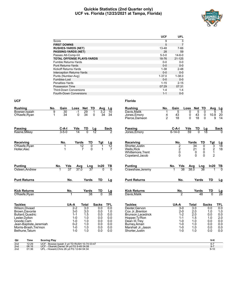#### **Quickie Statistics (2nd Quarter only) UCF vs. Florida (12/23/2021 at Tampa, Florida)**



|                                   | <b>UCF</b>  | <b>UFL</b>   |
|-----------------------------------|-------------|--------------|
| Score                             | 9           | 3            |
| <b>FIRST DOWNS</b>                | 5           | 7            |
| <b>RUSHES-YARDS (NET)</b>         | 13-48       | 7-66         |
| <b>PASSING-YARDS (NET)</b>        | 28          | 59           |
| Passes Att-Comp-Int               | $5 - 3 - 0$ | $14 - 6 - 0$ |
| <b>TOTAL OFFENSE PLAYS-YARDS</b>  | 18-76       | $21 - 125$   |
| <b>Fumble Returns-Yards</b>       | $0 - 0$     | $0 - 0$      |
| <b>Punt Returns-Yards</b>         | $0 - 0$     | $0 - 0$      |
| Kickoff Returns-Yards             | $1 - 38$    | $2 - 48$     |
| <b>Interception Returns-Yards</b> | $0 - 0$     | $0 - 0$      |
| Punts (Number-Avg)                | $1 - 37.0$  | $1 - 38.0$   |
| Fumbles-Lost                      | $0 - 0$     | $0 - 0$      |
| Penalties-Yards                   | $1 - 15$    | $2 - 15$     |
| <b>Possession Time</b>            | 07:29       | 07:31        |
| <b>Third-Down Conversions</b>     | $1 - 4$     | $1 - 4$      |
| Fourth-Down Conversions           | $1 - 1$     | $0 - 0$      |

| <b>Rushing</b>                          | No.                                                                                   | Gain<br>Loss                              | Net                  | TD<br>Avg                        | Lg                    | <b>Rushing</b>                                                               | No.                 | Gain                                       | Loss                                   | TD<br>Net                               | Avg                           | <u>Lg</u>                    |
|-----------------------------------------|---------------------------------------------------------------------------------------|-------------------------------------------|----------------------|----------------------------------|-----------------------|------------------------------------------------------------------------------|---------------------|--------------------------------------------|----------------------------------------|-----------------------------------------|-------------------------------|------------------------------|
| Bowser.Isaiah<br>O'Keefe, Ryan          | 9<br>1                                                                                | $\overline{30}$<br>$-1$<br>34<br>$\Omega$ | 29<br>34             | $\overline{3.2}$<br>1<br>0<br>34 | $\overline{10}$<br>34 | Davis.Malik<br>Jones, Emory<br>Pierce, Dameon                                | 4<br>$\overline{2}$ | 5<br>43<br>18                              | 0<br>0<br>$\Omega$                     | 5<br>0<br>0<br>43<br>18<br>$\mathbf{0}$ | 5<br>10.8<br>9                | $\overline{5}$<br>20<br>14   |
| Passing                                 |                                                                                       | $C-A-I$<br>Yds                            | TD                   | Lg                               | Sack                  | Passing                                                                      |                     | $C-A-I$                                    | Yds                                    | TD<br>Lg                                |                               | <b>Sack</b>                  |
| Keene, Mikey                            |                                                                                       | $3 - 5 - 0$<br>14                         | $\overline{0}$       | $\overline{12}$                  |                       | Jones, Emory                                                                 |                     | $6 - 14 - 0$                               | 59                                     | $\overline{0}$<br>18                    |                               |                              |
| <b>Receiving</b>                        |                                                                                       | No.<br>Yards                              | TD                   | Tgt                              | <u>Lg</u>             | Receiving                                                                    |                     | No.                                        | Yards                                  | TD                                      | Tgt                           |                              |
| O'Keefe, Ryan<br>Holler, Alec           |                                                                                       | 1<br>1                                    | 12<br>$\overline{7}$ | 0<br>$\Omega$<br>1               | 12<br>$\overline{7}$  | Shorter.Justin<br><b>Wells, Rick</b><br>Whittemore, Trent<br>Copeland, Jacob |                     | $\overline{2}$<br>$\overline{c}$<br>0<br>0 | $\overline{34}$<br>21<br>0<br>$\Omega$ | 0<br>0<br>0<br>$\Omega$                 | 3<br>2<br>1<br>$\overline{2}$ | $\frac{\text{Lg}}{18}$<br>18 |
| <b>Punting</b>                          | No.                                                                                   | Yds<br>Avg                                | Lng                  | ln20                             | TВ                    | <b>Punting</b>                                                               |                     | Yds<br>No.                                 | Avg                                    | Lng                                     | ln20                          | <u>ТВ</u>                    |
| Osteen, Andrew                          |                                                                                       | 37<br>37.0                                | $\overline{37}$      |                                  | $\overline{0}$        | Crawshaw, Jeremy                                                             |                     | 38                                         | 38.0                                   | $\overline{38}$                         |                               | $\overline{0}$               |
| <b>Punt Returns</b>                     |                                                                                       | No.                                       | Yards                | <b>TD</b>                        | Lg                    | <b>Punt Returns</b>                                                          |                     | No.                                        |                                        | Yards                                   | <b>TD</b>                     | Lg                           |
| <b>Kick Returns</b>                     |                                                                                       | No.                                       | Yards                | TD                               | <u>Lg</u>             | <b>Kick Returns</b>                                                          |                     | No.                                        |                                        | Yards                                   | TD                            |                              |
| O'Keefe, Ryan                           |                                                                                       | 1                                         | 38                   | $\overline{0}$                   | $\overline{38}$       | Davis, Malik                                                                 |                     | $\overline{2}$                             |                                        | 48                                      | $\overline{0}$                | $\frac{Lg}{26}$              |
| <b>Tackles</b>                          |                                                                                       | UA-A                                      | <b>Total</b>         | <b>Sacks</b>                     | <b>TFL</b>            | <b>Tackles</b>                                                               |                     | UA-A                                       | <b>Total</b>                           |                                         | <b>Sacks</b>                  | TFL                          |
| Wilson Divaad                           |                                                                                       | $2-2$                                     | 3.0                  | 0.0                              | 0.0                   | Dexter, Gervon                                                               |                     | $3-0$                                      | $\overline{3.0}$                       |                                         | 0.0                           | 0.0                          |
| Brown.Davonte<br><b>Bullard.Quadric</b> |                                                                                       | $3-0$<br>$1 - 1$                          | 3.0<br>1.5           | 0.0<br>0.0                       | 1.0<br>0.0            | Cox Jr., Brenton<br>Brunson.Lacedrick                                        |                     | $2 - 0$<br>$1 - 2$                         | 2.0<br>2.0                             |                                         | 1.0<br>0.0                    | 1.0<br>0.0                   |
| Lester, Dyllon                          |                                                                                       | $1 - 0$                                   | 1.0                  | 0.0                              | 0.0                   | Hopper, Ty'Ron                                                               |                     | $1 - 1$                                    | 1.5                                    |                                         | 1.0                           | 2.0                          |
| Goode, Cam                              |                                                                                       | $1 - 0$                                   | 1.0                  | 0.0                              | 0.0                   | Dean III, Trey                                                               |                     | $1 - 0$                                    | 1.0                                    |                                         | 0.0                           | 0.0                          |
| Jean-Baptiste, Jeremiah                 |                                                                                       | $0 - 2$                                   | 1.0                  | 0.0                              | 0.0                   | Burney, Amari                                                                |                     | $1 - 0$                                    | 1.0                                    |                                         | 0.0                           | 0.0                          |
| Morris-Brash, Tre'mon<br>Bethune, Tatum |                                                                                       | $1 - 0$<br>$1 - 0$                        | 1.0<br>1.0           | 0.0<br>0.0                       | 0.0<br>0.0            | Marshall Jr., Jason<br>Shorter, Justin                                       |                     | $1 - 0$<br>$1 - 0$                         | 1.0<br>1.0                             |                                         | 0.0<br>0.0                    | 0.0<br>0.0                   |
| <b>Time</b><br>Qtr                      | <b>Scoring Play</b>                                                                   |                                           |                      |                                  |                       |                                                                              |                     |                                            |                                        |                                         | V-H                           |                              |
| 2 <sub>nd</sub><br>12:29                | UCF - Bowser, Isaiah 3 yd TD RUSH 10-74 03:47                                         |                                           |                      |                                  |                       |                                                                              |                     |                                            |                                        |                                         | $6 - 7$                       |                              |
| 2nd<br>06:16<br>2nd<br>01:36            | UCF - Obarski, Daniel 34 yd FG 9-49 04:08<br>UFL - Howard, Chris 26 yd FG 12-64 04:34 |                                           |                      |                                  |                       |                                                                              |                     |                                            |                                        |                                         | $9 - 7$<br>$9 - 10$           |                              |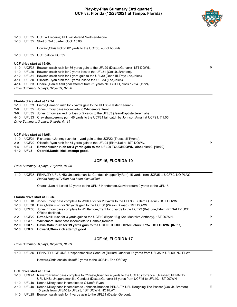#### **Play-by-Play Summary (3rd quarter) UCF vs. Florida (12/23/2021 at Tampa, Florida)**



- 1-10 UFL35 UCF will receive; UFL will defend North end-zone.
- 1-10 UFL35 Start of 3rd quarter, clock 15:00.

Howard,Chris kickoff 62 yards to the UCF03, out of bounds.

1-10 UFL35 UCF ball on UCF35.

#### **UCF drive start at 15:00.**

1-10 UCF35 Bowser,Isaiah rush for 36 yards gain to the UFL29 (Dexter,Gervon), 1ST DOWN. P

- 1-10 UFL29 Bowser,Isaiah rush for 2 yards loss to the UFL31 (Cox Jr.,Brenton).
- 2-12 UFL31 Bowser,Isaiah rush for 1 yard gain to the UFL30 (Dean III,Trey; Lee,Jalen).

3-11 UFL30 O'Keefe,Ryan rush for 3 yards loss to the UFL33 (Lee,Jalen).

4-14 UFL33 Obarski,Daniel field goal attempt from 51 yards NO GOOD, clock 12:24. [12:24]

*Drive Summary: 5 plays, 32 yards, 02:36*

#### **Florida drive start at 12:24.**

1-10 UFL33 Pierce,Dameon rush for 2 yards gain to the UFL35 (Hester,Keenan).

- 2-8 UFL35 Jones,Emory pass incomplete to Whittemore,Trent.
- 3-8 UFL35 Jones,Emory sacked for loss of 2 yards to the UFL33 (Jean-Baptiste,Jeremiah).
- 4-10 UFL33 Crawshaw,Jeremy punt 46 yards to the UCF21 fair catch by Johnson,Amari at UCF21. [11:05]

*Drive Summary: 3 plays, 0 yards, 01:19*

#### **UCF drive start at 11:05.**

- 1-10 UCF21 Richardson,Johnny rush for 1 yard gain to the UCF22 (Truesdell,Tyrone).
- 2-9 UCF22 O'Keefe,Ryan rush for 74 yards gain to the UFL04 (Elam,Kaiir), 1ST DOWN. P
- **1-4 UFL4 Bowser,Isaiah rush for 4 yards gain to the UFL00 TOUCHDOWN, clock 10:00. [10:00]**
- **1-10 UFL3 Obarski,Daniel kick attempt good.**

#### **UCF 16, FLORIDA 10**

*Drive Summary: 3 plays, 79 yards, 01:05*

1-10 UCF35 PENALTY UFL UNS: Unsportsmanlike Conduct (Hopper,Ty'Ron) 15 yards from UCF35 to UCF50. NO PLAY. *Florida Hopper,Ty'Ron has been disqualified*

Obarski,Daniel kickoff 32 yards to the UFL18 Henderson,Xzavier return 0 yards to the UFL18.

#### **Florida drive start at 09:56.**

|         |            | 1-10 UFL18 Jones, Emory pass complete to Wells, Rick for 20 yards to the UFL38 (Bullard, Quadric), 1ST DOWN.                          | P |
|---------|------------|---------------------------------------------------------------------------------------------------------------------------------------|---|
|         | 1-10 UFL38 | Davis, Malik rush for 32 yards gain to the UCF30 (Wilson, Divaad), 1ST DOWN.                                                          | P |
|         |            | 1-10 UCF30 Jones, Emory pass complete to Whittemore, Trent for 8 yards to the UCF22 (Bethune, Tatum) PENALTY UCF<br>Offside declined. |   |
| $2 - 2$ |            | UCF22 Davis, Malik rush for 3 yards gain to the UCF19 (Bryant, Big Kat; Montalvo, Anthony), 1ST DOWN.                                 | P |
|         |            | 1-10 UCF19 Whittemore, Trent pass incomplete to Gamble, Kemore.                                                                       |   |
|         |            | 2-10 UCF19 Davis, Malik rush for 19 yards gain to the UCF00 TOUCHDOWN, clock 07:57, 1ST DOWN. [07:57]                                 | P |
|         |            | 1-10 UCF3 Howard, Chris kick attempt good.                                                                                            |   |

#### **UCF 16, FLORIDA 17**

*Drive Summary: 6 plays, 82 yards, 01:59*

1-10 UFL35 PENALTY UCF UNS: Unsportsmanlike Conduct (Bullard,Quadric) 15 yards from UFL35 to UFL50. NO PLAY.

Howard,Chris onside kickoff 9 yards to the UCF41, End Of Play.

#### **UCF drive start at 07:54.**

- 1-10 UCF41 Navarro,Parker pass complete to O'Keefe,Ryan for 4 yards to the UCF45 (Torrence II,Rashad) PENALTY UFL UNS: Unsportsmanlike Conduct (Dexter,Gervon) 15 yards from UCF45 to UFL40, 1ST DOWN. E 1-10 UFL40 Keene,Mikey pass incomplete to O'Keefe,Ryan. 2-10 UFL40 Keene,Mikey pass incomplete to Johnson,Brandon PENALTY UFL Roughing The Passer (Cox Jr.,Brenton) 15 yards from UFL40 to UFL25, 1ST DOWN. NO PLAY. E
- 1-10 UFL25 Bowser,Isaiah rush for 4 yards gain to the UFL21 (Dexter,Gervon).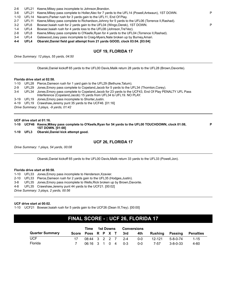| $2-6$ |  | UFL21 Keene, Mikey pass incomplete to Johnson, Brandon. |
|-------|--|---------------------------------------------------------|
|-------|--|---------------------------------------------------------|

|  | 3-6 UFL21 Keene, Mikey pass complete to Holler, Alec for 7 yards to the UFL14 (Powell, Antwaun), 1ST DOWN. |  |
|--|------------------------------------------------------------------------------------------------------------|--|
|  | 1-10 UFL14 Navarro, Parker rush for 3 yards gain to the UFL11, End Of Play.                                |  |

2-7 UFL11 Keene,Mikey pass complete to Richardson,Johnny for 5 yards to the UFL06 (Torrence II,Rashad).

- 3-2 UFL6 Bowser,Isaiah rush for 2 yards gain to the UFL04 (Wingo,Derek), 1ST DOWN. P
- 1-4 UFL4 Bowser,Isaiah rush for 4 yards loss to the UFL08 (Johnson,Tre'Vez).

2-8 UFL8 Keene,Mikey pass complete to O'Keefe,Ryan for 4 yards to the UFL04 (Torrence II,Rashad).

3-4 UFL4 Gatewood,Joey pass incomplete to Craig-Myers,Nate broken up by Burney,Amari.

**4-4 UFL4 Obarski,Daniel field goal attempt from 21 yards GOOD, clock 03:04. [03:04]**

### **UCF 19, FLORIDA 17**

*Drive Summary: 12 plays, 55 yards, 04:50*

Obarski,Daniel kickoff 65 yards to the UFL00 Davis,Malik return 28 yards to the UFL28 (Brown,Davonte).

#### **Florida drive start at 02:58.**

|       | 1-10 UFL28 Pierce, Dameon rush for 1 yard gain to the UFL29 (Bethune, Tatum).                                                                                                            |
|-------|------------------------------------------------------------------------------------------------------------------------------------------------------------------------------------------|
| $2-9$ | UFL29 Jones, Emory pass complete to Copeland, Jacob for 5 yards to the UFL34 (Thornton, Corey).                                                                                          |
|       | 3-4 UFL34 Jones, Emory pass complete to Copeland, Jacob for 23 yards to the UCF43, End Of Play PENALTY UFL Pass<br>Interference (Copeland, Jacob) 15 yards from UFL34 to UFL19. NO PLAY. |
|       | 3-19 UFL19 Jones, Emory pass incomplete to Shorter, Justin.                                                                                                                              |
|       | 4-19 UFL19 Crawshaw, Jeremy punt 35 yards to the UCF46. [01:16]                                                                                                                          |
|       |                                                                                                                                                                                          |

*Drive Summary: 3 plays, -9 yards, 01:42*

#### **UCF drive start at 01:16.**

**1-10 UCF46 Keene,Mikey pass complete to O'Keefe,Ryan for 54 yards to the UFL00 TOUCHDOWN, clock 01:08, 1ST DOWN. [01:08]**

**1-10 UFL3 Obarski,Daniel kick attempt good.**

#### **UCF 26, FLORIDA 17**

**P**

*Drive Summary: 1 plays, 54 yards, 00:08*

Obarski,Daniel kickoff 65 yards to the UFL00 Davis,Malik return 33 yards to the UFL33 (Powell,Jon).

#### **Florida drive start at 00:58.**

1-10 UFL33 Jones,Emory pass incomplete to Henderson,Xzavier.

2-10 UFL33 Pierce,Dameon rush for 2 yards gain to the UFL35 (Hodges,Justin).

3-8 UFL35 Jones,Emory pass incomplete to Wells,Rick broken up by Brown,Davonte.

4-8 UFL35 Crawshaw,Jeremy punt 44 yards to the UCF21. [00:02]

*Drive Summary: 3 plays, 2 yards, 00:56*

#### **UCF drive start at 00:02.**

1-10 UCF21 Bowser,Isaiah rush for 5 yards gain to the UCF26 (Dean III,Trey). [00:00]

# **FINAL SCORE - : UCF 26, FLORIDA 17**

|                        |                   | Time 1st Downs |  | Conversions |                               |         |         |                  |           |  |
|------------------------|-------------------|----------------|--|-------------|-------------------------------|---------|---------|------------------|-----------|--|
| <b>Quarter Summary</b> |                   |                |  |             | Score Poss R P X T 3rd<br>4th |         | Rushing | Passing          | Penalties |  |
| <b>UCF</b>             | 08:44 3 2 2 7 2-4 |                |  |             |                               | 0-0     | 12-121  | 5-8-0-74         | $1 - 15$  |  |
| Florida                | 06:16 3 1 0 4 0-3 |                |  |             |                               | $0 - 0$ | 7-57    | $3 - 8 - 0 - 33$ | 4-60      |  |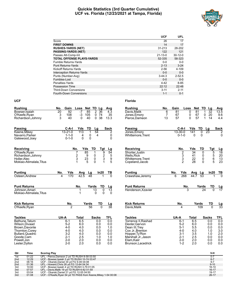#### **Quickie Statistics (3rd Quarter Cumulative) UCF vs. Florida (12/23/2021 at Tampa, Florida)**



|                                   | <b>UCF</b>    | <b>UFL</b> |
|-----------------------------------|---------------|------------|
| Score                             | 26            | 17         |
| <b>FIRST DOWNS</b>                | 14            | 17         |
| <b>RUSHES-YARDS (NET)</b>         | 31-213        | 28-202     |
| <b>PASSING-YARDS (NET)</b>        | 122           | 121        |
| Passes Att-Comp-Int               | $21 - 13 - 0$ | $30-12-0$  |
| <b>TOTAL OFFENSE PLAYS-YARDS</b>  | 52-335        | 58-323     |
| Fumble Returns-Yards              | $0 - 0$       | $0-0$      |
| <b>Punt Returns-Yards</b>         | $2 - 13$      | $3 - 24$   |
| Kickoff Returns-Yards             | $2 - 56$      | 4-109      |
| <b>Interception Returns-Yards</b> | $0 - 0$       | $0-0$      |
| Punts (Number-Avg)                | $3 - 44.3$    | $2 - 52.5$ |
| Fumbles-Lost                      | $0 - 0$       | $0 - 0$    |
| Penalties-Yards                   | $4 - 42$      | $8 - 85$   |
| Possession Time                   | 22:12         | 22:48      |
| <b>Third-Down Conversions</b>     | $3 - 11$      | $2 - 11$   |
| <b>Fourth-Down Conversions</b>    | $1 - 1$       | $0 - 1$    |

| <b>Rushing</b>          | No.             | Gain            | Loss          | <b>Net</b>      | TD             | Lg            | Avg         |
|-------------------------|-----------------|-----------------|---------------|-----------------|----------------|---------------|-------------|
| Bowser, Isaiah          | $\overline{20}$ | $\overline{92}$ | $-7$          | $\overline{85}$ | $\overline{2}$ | 36            | 4.3         |
| O'Keefe, Ryan           | 3               | 108             | -3            | 105             | 0              | 74            | 35          |
| Richardson, Johnny      | 3               | 40              | 0             | 40              | 0              | 38            | 13.3        |
| <b>Passing</b>          |                 | C-A-I           | Yds           | TD              | Lq             |               | <b>Sack</b> |
| Keene, Mikey            |                 | $13 - 21 - 0$   | 113           | 1               | 54             |               | 2           |
| Navarro, Parker         |                 | $1 - 1 - 0$     | 4             | 0               | 4              |               | 0           |
| Gatewood, Joey          |                 | $0 - 1 - 0$     | 0             | 0               |                |               | $\Omega$    |
| Receiving               |                 |                 | No.           | Yds             | TD             | Tgt           | Lg          |
| O'Keefe, Ryan           |                 |                 | 7             | 85              | 1              | 9             | 54          |
| Richardson, Johnny      |                 |                 | $\frac{2}{3}$ | 9               | 0              | $\frac{2}{3}$ | 5<br>9<br>5 |
| Holler, Alec            |                 |                 |               | 23              | 0              |               |             |
| Mokiao-Atimalala, Titus |                 |                 |               | 5               | $\Omega$       | 1             |             |
| <b>Punting</b>          | No.             | Yds             | Avg           | Lg              |                | In20          | ΤВ          |
| Osteen, Andrew          | 4               | 170             | 42.5          | 48              |                |               | O           |
| <b>Punt Returns</b>     |                 |                 | No.           |                 | Yards          | TD            | Lg          |
| Johnson, Amari          |                 |                 | 1             |                 | 13             | 0             | 13          |
| Mokiao-Atimalala, Titus |                 |                 | 1             |                 | 0              | 0             | 0           |
| <b>Kick Returns</b>     |                 | No.             |               | Yards           |                | TD            |             |
| O'Keefe, Ryan           |                 | っ               |               | 56              |                | O             |             |
| <b>Tackles</b>          | UA-A            |                 | Total         |                 | Sacks          |               | TFL         |
| Bethune, Tatum          |                 | $6-1$           | 6.5           |                 |                | 0.0           | 0.0         |
| Wilson, Divaad          |                 | $5 - 2$         | 6.0           |                 |                | 0.0           | 0.0         |
| Brown, Davonte          |                 | $4 - 0$         | 4.0           |                 |                | 0.0           | 1.0         |
| Thornton, Corey         |                 | $4 - 0$         | 4.0           |                 |                | 0.0           | 0.0         |
| <b>Bullard, Quadric</b> |                 | $3-2$           | 4.0           |                 |                | 0.0           | 0.0         |
| Goode, Cam              |                 | $2 - 1$         | 2.5           |                 |                | 1.0           | 1.0         |
| Powell, Jon             |                 | $2 - 0$         | 2.0           |                 |                | 0.0           | 0.0         |
| Lester, Dyllon          |                 | $2 - 0$         | 2.0           |                 |                | 0.0           | 0.0         |

| <b>Rushing</b>                 | No. | Gain | Loss               | <b>Net</b>             | TD          | Lq               | Avg                   |
|--------------------------------|-----|------|--------------------|------------------------|-------------|------------------|-----------------------|
| Davis, Malik                   | 6   | 81   |                    | 0                      | 81<br>1     | 32               | 13.5                  |
| Jones, Emory                   | 7   | 67   |                    | 0                      | 67<br>0     | 20               | 9.6                   |
| Pierce, Dameon                 | 13  | 57   |                    | 0                      | 57<br>1     | 14               | 4.4                   |
|                                |     |      |                    |                        |             |                  |                       |
| Passing                        |     |      | C-A-I              | Yds                    | TD          | Lg               | Sack                  |
| Jones, Emory                   |     |      | $13 - 30 - 0$      | 141                    | 0           | 23               | 2                     |
| Whittemore, Trent              |     |      | $0 - 1 - 0$        | 0                      | $\mathbf 0$ |                  | 0                     |
|                                |     |      |                    |                        |             |                  |                       |
| Receiving                      |     |      | No.                | Yds<br>$\overline{34}$ | TD          | Tgt              | Lg<br>$\overline{18}$ |
| Shorter, Justin<br>Wells, Rick |     |      | $\frac{2}{3}$      | 41                     | 0<br>0      | 5<br>5           | 20                    |
| <b>Whittemore, Trent</b>       |     |      |                    | 22                     | 0           | 6                | 13                    |
| Copeland, Jacob                |     |      | $\overline{2}$     | 28                     | 0           | 5                | 23                    |
|                                |     |      |                    |                        |             |                  |                       |
| Punting                        |     | No.  | Yds                | Avg                    | Lg          | In20             | TВ                    |
| Crawshaw, Jeremy               |     | 6    | 268                | 44.7                   | 53          | 1                |                       |
| <b>Punt Returns</b>            |     |      | No.                |                        | Yards       | TD               |                       |
| Henderson, Xzavier             |     |      |                    |                        | 24          |                  |                       |
|                                |     |      |                    |                        |             |                  |                       |
| <b>Kick Returns</b>            |     |      | No.                |                        | Yards       | TD               |                       |
| Davis, Malik                   |     |      | 4                  |                        | 109         | 0                | 33                    |
| <b>Tackles</b>                 |     | UA-A |                    | Total                  |             | <b>Sacks</b>     | TFL                   |
| Torrence II, Rashad            |     |      | $6 - 1$            | 6.5                    |             | 0.0              | 0.0                   |
| Dexter, Gervon                 |     |      | $5-2$              | 6.0                    |             | 0.0              | 0.0                   |
| Dean III, Trey                 |     |      | $5-1$              | 5.5                    |             | 0.0              | 0.0                   |
| Cox Jr., Brenton               |     |      | $4 - 0$            | 4.0                    |             | 1.0              | 3.0                   |
| Hopper, Ty'Ron                 |     |      | $3 - 1$            | 3.5                    |             | 1.0              | 2.0                   |
| Marshall Jr., Jason            |     |      | $2 - 1$            | 2.5                    |             | 0.0              | 0.0                   |
| Elam, Kaiir                    |     |      | $2 - 0$<br>$1 - 2$ | 2.0<br>2.0             |             | 0.0              | 0.0                   |
| Brunson, Lacedrick             |     |      |                    |                        |             | 0.0              | 0.0                   |
|                                |     |      |                    |                        |             | V-H              |                       |
|                                |     |      |                    |                        |             | $0 - 7$<br>$6-7$ |                       |

| Qtr             | Time  | <b>Scoring Play</b>                                            | V-H       |
|-----------------|-------|----------------------------------------------------------------|-----------|
| 1st             | 01:22 | UFL - Pierce, Dameon 2 yd TD RUSH 8-58 03:50                   |           |
| 2 <sub>nd</sub> | 12:29 | UCF - Bowser, Isaiah 3 yd TD RUSH 10-74 03:47                  | $6 - 7$   |
| 2 <sub>nd</sub> | 06:16 | UCF - Obarski.Daniel 34 vd FG 9-49 04:08                       | $9 - 7$   |
| 2 <sub>nd</sub> | 01:36 | UFL - Howard, Chris 26 yd FG 12-64 04:34                       | $9 - 10$  |
| 3rd             | 10:00 | UCF - Bowser, Isaiah 4 yd TD RUSH 3-79 01:05                   | $16-10$   |
| 3rd             | 07:57 | UFL - Davis, Malik 19 yd TD RUSH 6-82 01:59                    | $16 - 17$ |
| 3rd             | 03:04 | UCF - Obarski, Daniel 21 yd FG 12-55 04:50                     | 19-17     |
| 3rd             | 01:08 | UCF - O'Keefe, Ryan 54 yd TD PASS from Keene, Mikey 1-54 00:08 | $26 - 17$ |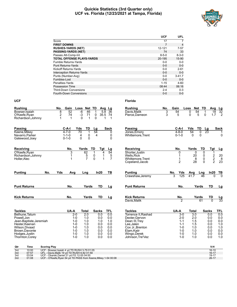#### **Quickie Statistics (3rd Quarter only) UCF vs. Florida (12/23/2021 at Tampa, Florida)**



|                                   | <b>UCF</b>  | <b>UFL</b>     |
|-----------------------------------|-------------|----------------|
| Score                             | 17          | 7              |
| <b>FIRST DOWNS</b>                | 7           | $\overline{4}$ |
| <b>RUSHES-YARDS (NET)</b>         | 12-121      | 7-57           |
| <b>PASSING-YARDS (NET)</b>        | 74          | 33             |
| Passes Att-Comp-Int               | $8 - 5 - 0$ | $8 - 3 - 0$    |
| <b>TOTAL OFFENSE PLAYS-YARDS</b>  | 20-195      | 15-90          |
| <b>Fumble Returns-Yards</b>       | $0 - 0$     | $0-0$          |
| <b>Punt Returns-Yards</b>         | $0 - 0$     | $0 - 0$        |
| Kickoff Returns-Yards             | $0 - 0$     | $2 - 61$       |
| <b>Interception Returns-Yards</b> | $0 - 0$     | $0-0$          |
| Punts (Number-Avg)                | $0 - 0$     | $3 - 41.7$     |
| Fumbles-Lost                      | $0 - 0$     | $0 - 0$        |
| Penalties-Yards                   | $1 - 15$    | $4 - 60$       |
| Possession Time                   | 08:44       | 06:16          |
| <b>Third-Down Conversions</b>     | $2 - 4$     | $0 - 3$        |
| <b>Fourth-Down Conversions</b>    | $0 - 0$     | $0 - 0$        |

| <b>Rushing</b>                    | No.          | Gain         | Loss               |                  | Net TD       |             | Avg Lg          | <b>Rushing</b>                  | No. | Gain               | Loss         | Net TD           |                 | Avg             |                 |
|-----------------------------------|--------------|--------------|--------------------|------------------|--------------|-------------|-----------------|---------------------------------|-----|--------------------|--------------|------------------|-----------------|-----------------|-----------------|
| Bowser, Isaiah                    | 8            | 52           | -6                 | 46               | 1            | 5.8         | 36              | Davis, Malik                    | 3   | 54                 | $\mathbf{0}$ | 54               | $\mathbf{1}$    | $\overline{18}$ | $\frac{Lg}{32}$ |
| O'Keefe, Ryan                     | 2            | 74           | $-3$               | 71               | 0            | 35.5        | -74             | Pierce, Dameon                  | 3   | 5                  | $\Omega$     | 5                | 0               | 1.7             | $\overline{2}$  |
| Richardson, Johnny                | $\mathbf{1}$ | $\mathbf{1}$ | $\Omega$           | 1                | $\Omega$     | 1           | -1              |                                 |     |                    |              |                  |                 |                 |                 |
| <b>Passing</b>                    |              | $C-A-I$      | Yds                | TD               | Lg           |             | <b>Sack</b>     | Passing                         |     | $C-A-I$            | Yds          | TD               | Lg              |                 | Sack            |
| Keene, Mikey                      |              | $4 - 7 - 0$  | $\overline{70}$    |                  | 54           |             | 0               | Jones, Emory                    |     | $4 - 8 - 0$        | 54           | $\Omega$         | $\overline{23}$ |                 |                 |
| Navarro, Parker                   |              | $1 - 1 - 0$  | 4                  | 0                | 4            |             | 0               | Whittemore, Trent               |     | $0 - 1 - 0$        | $\Omega$     | 0                |                 |                 | 0               |
| Gatewood, Joey                    |              | $0 - 1 - 0$  | $\Omega$           | $\Omega$         |              |             | $\Omega$        |                                 |     |                    |              |                  |                 |                 |                 |
| Receiving                         |              | No.          |                    | Yards            | TD           | Tgt         | <u>Lg</u>       | Receiving                       |     | No.                | Yards        |                  | TD              | Tgt             | <u>Lg</u>       |
| O'Keefe, Ryan                     |              | 3            |                    | 62               | $\mathbf 1$  | 4           | $\overline{54}$ | Shorter, Justin                 |     | 0                  |              | 0                | $\Omega$        | 1               |                 |
| Richardson, Johnny                |              |              |                    | $\frac{5}{7}$    | 0            | 1           | $\frac{5}{7}$   | <b>Wells, Rick</b>              |     |                    |              | 20               | 0               |                 | 20              |
| Holler, Alec                      |              |              |                    |                  | $\mathbf 0$  | $\mathbf 1$ |                 | Whittemore, Trent               |     | 1                  |              | 8                | $\pmb{0}$       | $\frac{2}{2}$   | 8               |
|                                   |              |              |                    |                  |              |             |                 | Copeland, Jacob                 |     | $\overline{2}$     |              | 28               | $\Omega$        |                 | 23              |
| <b>Punting</b><br>No.             | Yds          | Avg          |                    | Lng              |              | In20        | ΤВ              | <b>Punting</b>                  |     | Yds<br>No.         | Avg          |                  | Lng             | In20            | TВ              |
|                                   |              |              |                    |                  |              |             |                 | Crawshaw, Jeremy                |     | 125<br>3           | 41.7         |                  | 46              | $\overline{0}$  | $\overline{0}$  |
| <b>Punt Returns</b>               |              | No.          |                    | Yards            |              | <b>TD</b>   | Lg              | <b>Punt Returns</b>             |     | No.                |              | Yards            |                 | <b>TD</b>       | Lg              |
| <b>Kick Returns</b>               |              | No.          |                    | Yards            |              | TD          | Lg              | <b>Kick Returns</b>             |     | No.                |              | Yards            |                 | TD              |                 |
|                                   |              |              |                    |                  |              |             |                 | Davis, Malik                    |     | $\overline{2}$     |              |                  | 61              | $\overline{0}$  | $\frac{Lg}{33}$ |
| <b>Tackles</b>                    |              | UA-A         |                    | <b>Total</b>     | <b>Sacks</b> |             | <b>TFL</b>      | <b>Tackles</b>                  |     | UA-A               | <b>Total</b> |                  | <b>Sacks</b>    |                 | TFL             |
| Bethune, Tatum                    |              |              | $2-0$              | $\overline{2.0}$ |              | 0.0         | 0.0             | Torrence II, Rashad             |     | $3-0$              |              | $\overline{3.0}$ |                 | 0.0             | 0.0             |
| Powell, Jon                       |              |              | $1 - 0$            | 1.0              |              | 0.0         | 0.0             | Dexter, Gervon                  |     | $2 - 0$            |              | 2.0              |                 | 0.0             | 0.0             |
| Jean-Baptiste, Jeremiah           |              |              | $1 - 0$            | 1.0              |              | 1.0         | 1.0             | Dean III, Trey                  |     | $1 - 1$            |              | 1.5              |                 | 0.0             | 0.0             |
| Hester, Keenan                    |              |              | $1 - 0$            | 1.0              |              | 0.0         | 0.0             | Lee, Jalen                      |     | $1 - 1$            |              | 1.5              |                 | 0.0             | 1.0             |
| Wilson.Divaad                     |              |              | $1 - 0$            | 1.0              |              | 0.0         | 0.0             | Cox Jr. Brenton                 |     | $1 - 0$            |              | 1.0              |                 | 0.0             | 1.0             |
| Brown, Davonte                    |              |              | $1 - 0$            | 1.0              |              | 0.0         | 0.0             | Elam.Kaiir                      |     | $1 - 0$            |              | 1.0              |                 | 0.0             | 0.0             |
| Hodges, Justin<br>Thornton, Corey |              |              | $1 - 0$<br>$1 - 0$ | 1.0<br>1.0       |              | 0.0<br>0.0  | 0.0<br>0.0      | Wingo, Derek<br>Johnson.Tre'Vez |     | $1 - 0$<br>$1 - 0$ |              | 1.0<br>1.0       |                 | 0.0<br>0.0      | 0.0<br>1.0      |
|                                   |              |              |                    |                  |              |             |                 |                                 |     |                    |              |                  |                 |                 |                 |

| Rushing                                     | No.    | Gain |                                     | Loss           | Net          | TD                 | Avg           | Lg                    |
|---------------------------------------------|--------|------|-------------------------------------|----------------|--------------|--------------------|---------------|-----------------------|
| Davis, Malik<br>Pierce,Dameon               | 3<br>3 |      | 54<br>5                             | 0<br>0         | 54<br>5      | 1<br>0             | 18<br>1.7     | 32<br>$\overline{2}$  |
| Passing<br>Jones, Emory<br>Whittemore,Trent |        |      | C-A-I<br>$4 - 8 - 0$<br>$0 - 1 - 0$ | Yds<br>54<br>0 | TD           | Lg<br>23<br>0<br>0 |               | <b>Sack</b><br>1<br>0 |
| Receiving                                   |        |      | No.                                 | Yards          |              | TD                 | Tgt           | Lg                    |
| Shorter, Justin                             |        |      | 0                                   |                | 0            | 0                  | 1             |                       |
| <b>Wells, Rick</b>                          |        |      | 1                                   |                | 20           | 0                  |               | $20\,$                |
| Whittemore, Trent<br>Copeland, Jacob        |        |      | 1<br>$\overline{2}$                 |                | 8<br>28      | 0<br>$\Omega$      | $\frac{2}{2}$ | 8<br>23               |
| Punting                                     |        | No.  | Yds                                 | Avg            |              | Lng                | In20          | TВ                    |
| Crawshaw, Jeremy                            |        |      | 125                                 | 41.7           |              | 46                 | 0             | $\Omega$              |
| Punt Returns                                |        |      | No.                                 |                | Yards        |                    | TD            | Lg                    |
| Kick Returns                                |        |      | $rac{No.}{2}$                       |                | <u>Yards</u> |                    | TD            |                       |
| Davis, Malik                                |        |      |                                     |                |              | 61                 |               |                       |
| Tackles                                     |        |      | UA-A                                | <b>Total</b>   |              |                    | <b>Sacks</b>  | <b>TFL</b>            |
| Torrence II, Rashad                         |        |      | $3-0$                               |                | 3.0          |                    | 0.0           | 0.0                   |
| Dexter, Gervon<br>Dean III, Trey            |        |      | $2 - 0$<br>$1 - 1$                  |                | 2.0<br>1.5   |                    | 0.0<br>0.0    | 0.0<br>0.0            |
| Lee,Jalen                                   |        |      | $1 - 1$                             |                | 1.5          |                    | 0.0           | 1.0                   |
| Cox Jr., Brenton                            |        |      | $1 - 0$                             |                | 1.0          |                    | 0.0           | 1.0                   |
| Elam, Kaiir<br>Wingo, Derek                 |        |      | $1 - 0$<br>$1 - 0$                  |                | 1.0<br>1.0   |                    | 0.0<br>0.0    | 0.0<br>0.0            |
| Johnson, Tre'Vez                            |        |      | $1 - 0$                             |                | 1.0          |                    | 0.0           | 1.0                   |
|                                             |        |      |                                     |                |              |                    |               |                       |

| Qtr | Time  | <b>Scoring Play</b>                                            | V-H       |
|-----|-------|----------------------------------------------------------------|-----------|
| 3rd | 10:00 | UCF - Bowser Isaiah 4 vd TD RUSH 3-79 01:05                    | $16 - 10$ |
| 3rd | 07:57 | UFL - Davis Malik 19 vd TD RUSH 6-82 01:59                     | $16 - 17$ |
| 3rd | 03:04 | UCF - Obarski.Daniel 21 vd FG 12-55 04:50                      | 19-17     |
| 3rd | 01:08 | UCF - O'Keefe, Ryan 54 yd TD PASS from Keene, Mikey 1-54 00:08 | $26-17$   |
|     |       |                                                                |           |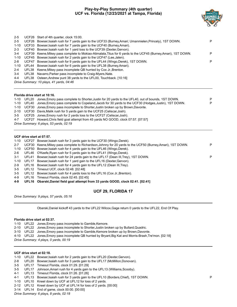#### **Play-by-Play Summary (4th quarter) UCF vs. Florida (12/23/2021 at Tampa, Florida)**



| $2 - 5$                                                                                                                |       | UCF26 Start of 4th quarter, clock 15:00.                                                                     |   |  |  |  |  |  |  |
|------------------------------------------------------------------------------------------------------------------------|-------|--------------------------------------------------------------------------------------------------------------|---|--|--|--|--|--|--|
| $2 - 5$<br>UCF26<br>Bowser, Isaiah rush for 7 yards gain to the UCF33 (Burney, Amari; Umanmielen, Princely), 1ST DOWN. |       |                                                                                                              |   |  |  |  |  |  |  |
| $1 - 10$                                                                                                               | UCF33 | Bowser, Isaiah rush for 7 yards gain to the UCF40 (Burney, Amari).                                           |   |  |  |  |  |  |  |
| $2 - 3$                                                                                                                |       | UCF40 Bowser, Isaiah rush for 1 yard loss to the UCF39 (Dexter, Gervon).                                     |   |  |  |  |  |  |  |
| $3-4$                                                                                                                  | UCF39 | Keene, Mikey pass complete to Mokiao-Atimalala, Titus for 6 yards to the UCF45 (Burney, Amari), 1ST DOWN.    | P |  |  |  |  |  |  |
| $1 - 10$                                                                                                               | UCF45 | Bowser, Isaiah rush for 2 yards gain to the UCF47 (Lee, Jalen).                                              |   |  |  |  |  |  |  |
| $2 - 8$                                                                                                                | UCF47 | Bowser, Isaiah rush for 9 yards gain to the UFL44 (Wingo, Derek), 1ST DOWN.                                  | P |  |  |  |  |  |  |
| $1 - 10$                                                                                                               | UFL44 | Bowser, Isaiah rush for 6 yards gain to the UFL38 (Burney, Amari).                                           |   |  |  |  |  |  |  |
| $2 - 4$                                                                                                                |       | UFL38 Keene, Mikey pass incomplete QB hurried by Cox Jr., Brenton.                                           |   |  |  |  |  |  |  |
| $3-4$                                                                                                                  |       | UFL38 Navarro, Parker pass incomplete to Craig-Myers, Nate.                                                  |   |  |  |  |  |  |  |
| 4-4                                                                                                                    |       | UFL38 Osteen, Andrew punt 38 yards to the UFL00, Touchback. [10:16]                                          |   |  |  |  |  |  |  |
|                                                                                                                        |       | Drive Summary: 10 plays, 41 yards, 04:46                                                                     |   |  |  |  |  |  |  |
|                                                                                                                        |       | Florida drive start at 10:16.                                                                                |   |  |  |  |  |  |  |
|                                                                                                                        |       | 1-10 UFL20 Jones, Emory pass complete to Shorter, Justin for 20 yards to the UFL40, out of bounds, 1ST DOWN. | P |  |  |  |  |  |  |
| $1 - 10$                                                                                                               | UFL40 | Jones, Emory pass complete to Copeland, Jacob for 30 yards to the UCF30 (Hodges, Justin), 1ST DOWN.          | P |  |  |  |  |  |  |
| $1 - 10$                                                                                                               |       | UCF30 Jones, Emory pass incomplete to Shorter, Justin broken up by Brown, Davonte.                           |   |  |  |  |  |  |  |
| $2 - 10$                                                                                                               |       | UCF30 Davis, Malik rush for 5 yards gain to the UCF25 (Celiscar, Josh).                                      |   |  |  |  |  |  |  |
| $3-5$                                                                                                                  |       | UCF25 Jones, Emory rush for 2 yards loss to the UCF27 (Celiscar, Josh).                                      |   |  |  |  |  |  |  |
| 4-7                                                                                                                    |       | UCF27 Howard, Chris field goal attempt from 45 yards NO GOOD, clock 07:57. [07:57]                           |   |  |  |  |  |  |  |
|                                                                                                                        |       | Drive Summary: 6 plays, 53 yards, 02:19                                                                      |   |  |  |  |  |  |  |
|                                                                                                                        |       | UCF drive start at 07:57.                                                                                    |   |  |  |  |  |  |  |
| $1 - 10$                                                                                                               |       | UCF27 Bowser, Isaiah rush for 3 yards gain to the UCF30 (Wingo, Derek).                                      |   |  |  |  |  |  |  |
| $2 - 7$                                                                                                                |       | UCF30 Keene, Mikey pass complete to Richardson, Johnny for 20 yards to the UCF50 (Burney, Amari), 1ST DOWN.  | P |  |  |  |  |  |  |
| $1 - 10$                                                                                                               | UCF50 | Bowser, Isaiah rush for 4 yards gain to the UFL46 (Wingo, Derek).                                            |   |  |  |  |  |  |  |
| $2-6$                                                                                                                  | UFL46 | O'Keefe, Ryan rush for 5 yards gain to the UFL41 (Wingo, Derek).                                             |   |  |  |  |  |  |  |
| $3 - 1$                                                                                                                | UFL41 | Bowser, Isaiah rush for 24 yards gain to the UFL17 (Dean III, Trey), 1ST DOWN.                               | P |  |  |  |  |  |  |
| $1 - 10$                                                                                                               | UFL17 | Bowser, Isaiah rush for 1 yard gain to the UFL16 (Dexter, Gervon).                                           |   |  |  |  |  |  |  |
|                                                                                                                        |       |                                                                                                              |   |  |  |  |  |  |  |

- 2-9 UFL16 Bowser,Isaiah rush for 4 yards gain to the UFL12 (Dean III,Trey).
- 3-5 UFL12 Timeout UCF, clock 02:48. [02:48]
- 3-5 UFL12 Bowser,Isaiah rush for 4 yards loss to the UFL16 (Cox Jr.,Brenton).
- 4-9 UFL16 Timeout Florida, clock 02:45. [02:45]
- **4-9 UFL16 Obarski,Daniel field goal attempt from 33 yards GOOD, clock 02:41. [02:41]**

#### **UCF 29, FLORIDA 17**

*Drive Summary: 9 plays, 57 yards, 05:16*

Obarski,Daniel kickoff 43 yards to the UFL22 Wilcox,Gage return 0 yards to the UFL22, End Of Play.

#### **Florida drive start at 02:37.**

- 1-10 UFL22 Jones,Emory pass incomplete to Gamble,Kemore.
- 2-10 UFL22 Jones,Emory pass incomplete to Shorter,Justin broken up by Bullard,Quadric.
- 3-10 UFL22 Jones,Emory pass incomplete to Gamble,Kemore broken up by Brown,Davonte.
- 4-10 UFL22 Jones,Emory pass incomplete QB hurried by Bryant,Big Kat and Morris-Brash,Tre'mon. [02:18]

*Drive Summary: 4 plays, 0 yards, 00:19*

#### **UCF drive start at 02:18.**

- 1-10 UFL22 Bowser,Isaiah rush for 2 yards gain to the UFL20 (Dexter,Gervon).
- 2-8 UFL20 Bowser,Isaiah rush for 3 yards gain to the UFL17 (McMillon,Donovan).
- 3-5 UFL17 Timeout Florida, clock 01:29. [01:29]
- 3-5 UFL17 Johnson,Amari rush for 4 yards gain to the UFL13 (Williams,Scooby).
- 4-1 UFL13 Timeout Florida, clock 01:26. [01:26]
- 4-1 UFL13 Bowser,Isaiah rush for 3 yards gain to the UFL10 (Borders,Chief), 1ST DOWN. P
- 1-10 UFL10 Kneel down by UCF at UFL12 for loss of 2 yards.
- 2-12 UFL12 Kneel down by UCF at UFL14 for loss of 2 yards. [00:00]
- 3-14 UFL14 End of game, clock 00:00. [00:00]

*Drive Summary: 6 plays, 8 yards, 02:18*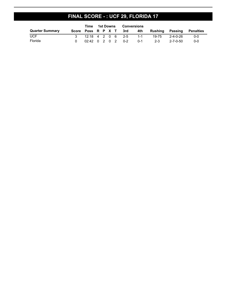# **FINAL SCORE - : UCF 29, FLORIDA 17**

|                        | Time | 1st Downs |  |  | Conversions                |                         |                           |                 |         |
|------------------------|------|-----------|--|--|----------------------------|-------------------------|---------------------------|-----------------|---------|
| <b>Quarter Summary</b> |      |           |  |  | Score Poss R P X T 3rd 4th |                         | Rushing Passing Penalties |                 |         |
| <b>UCF</b>             |      |           |  |  |                            | 3 12:18 4 2 0 6 2-5 1-1 |                           | 19-75  2-4-0-26 | -0-0    |
| Florida                |      |           |  |  | 02:42 0 2 0 2 0-2          | $0-1$                   | - 2-3                     | 2-7-0-50        | $0 - 0$ |